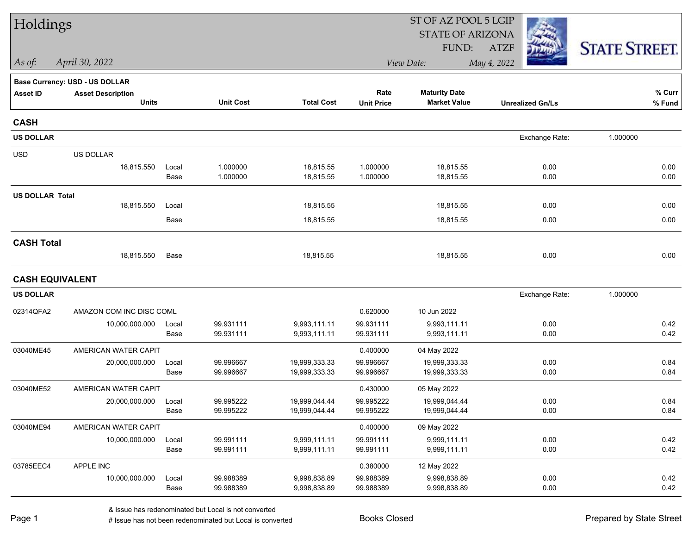| Holdings               |                                       |       |                  |                   | ST OF AZ POOL 5 LGIP |                         |                         |                      |  |  |
|------------------------|---------------------------------------|-------|------------------|-------------------|----------------------|-------------------------|-------------------------|----------------------|--|--|
|                        |                                       |       |                  |                   |                      | <b>STATE OF ARIZONA</b> |                         |                      |  |  |
|                        |                                       |       |                  |                   |                      | FUND:                   | <b>ATZF</b>             | <b>STATE STREET.</b> |  |  |
| As of:                 | April 30, 2022                        |       |                  |                   |                      | View Date:              | May 4, 2022             |                      |  |  |
|                        | <b>Base Currency: USD - US DOLLAR</b> |       |                  |                   |                      |                         |                         |                      |  |  |
| <b>Asset ID</b>        | <b>Asset Description</b>              |       |                  |                   | Rate                 | <b>Maturity Date</b>    |                         | $%$ Curr             |  |  |
|                        | <b>Units</b>                          |       | <b>Unit Cost</b> | <b>Total Cost</b> | <b>Unit Price</b>    | <b>Market Value</b>     | <b>Unrealized Gn/Ls</b> | % Fund               |  |  |
| <b>CASH</b>            |                                       |       |                  |                   |                      |                         |                         |                      |  |  |
| <b>US DOLLAR</b>       |                                       |       |                  |                   |                      |                         | Exchange Rate:          | 1.000000             |  |  |
| <b>USD</b>             | US DOLLAR                             |       |                  |                   |                      |                         |                         |                      |  |  |
|                        | 18,815.550                            | Local | 1.000000         | 18,815.55         | 1.000000             | 18,815.55               | 0.00                    | 0.00                 |  |  |
|                        |                                       | Base  | 1.000000         | 18,815.55         | 1.000000             | 18,815.55               | 0.00                    | 0.00                 |  |  |
| <b>US DOLLAR Total</b> |                                       |       |                  |                   |                      |                         |                         |                      |  |  |
|                        | 18,815.550                            | Local |                  | 18,815.55         |                      | 18,815.55               | 0.00                    | 0.00                 |  |  |
|                        |                                       | Base  |                  | 18,815.55         |                      | 18,815.55               | 0.00                    | 0.00                 |  |  |
| <b>CASH Total</b>      |                                       |       |                  |                   |                      |                         |                         |                      |  |  |
|                        | 18,815.550                            | Base  |                  | 18,815.55         |                      | 18,815.55               | 0.00                    | 0.00                 |  |  |
| <b>CASH EQUIVALENT</b> |                                       |       |                  |                   |                      |                         |                         |                      |  |  |
| <b>US DOLLAR</b>       |                                       |       |                  |                   |                      |                         | Exchange Rate:          | 1.000000             |  |  |
| 02314QFA2              | AMAZON COM INC DISC COML              |       |                  |                   | 0.620000             | 10 Jun 2022             |                         |                      |  |  |
|                        | 10,000,000.000                        | Local | 99.931111        | 9,993,111.11      | 99.931111            | 9,993,111.11            | 0.00                    | 0.42                 |  |  |
|                        |                                       | Base  | 99.931111        | 9,993,111.11      | 99.931111            | 9,993,111.11            | 0.00                    | 0.42                 |  |  |
| 03040ME45              | AMERICAN WATER CAPIT                  |       |                  |                   | 0.400000             | 04 May 2022             |                         |                      |  |  |
|                        | 20,000,000.000                        | Local | 99.996667        | 19,999,333.33     | 99.996667            | 19,999,333.33           | 0.00                    | 0.84                 |  |  |
|                        |                                       | Base  | 99.996667        | 19,999,333.33     | 99.996667            | 19,999,333.33           | 0.00                    | 0.84                 |  |  |
| 03040ME52              | AMERICAN WATER CAPIT                  |       |                  |                   | 0.430000             | 05 May 2022             |                         |                      |  |  |
|                        | 20,000,000.000                        | Local | 99.995222        | 19,999,044.44     | 99.995222            | 19,999,044.44           | 0.00                    | 0.84                 |  |  |
|                        |                                       | Base  | 99.995222        | 19,999,044.44     | 99.995222            | 19,999,044.44           | 0.00                    | 0.84                 |  |  |
| 03040ME94              | AMERICAN WATER CAPIT                  |       |                  |                   | 0.400000             | 09 May 2022             |                         |                      |  |  |
|                        | 10,000,000.000                        | Local | 99.991111        | 9,999,111.11      | 99.991111            | 9,999,111.11            | 0.00                    | 0.42                 |  |  |
|                        |                                       | Base  | 99.991111        | 9,999,111.11      | 99.991111            | 9,999,111.11            | 0.00                    | 0.42                 |  |  |
| 03785EEC4              | APPLE INC                             |       |                  |                   | 0.380000             | 12 May 2022             |                         |                      |  |  |
|                        | 10,000,000.000                        | Local | 99.988389        | 9,998,838.89      | 99.988389            | 9,998,838.89            | $0.00\,$                | 0.42                 |  |  |
|                        |                                       | Base  | 99.988389        | 9,998,838.89      | 99.988389            | 9,998,838.89            | 0.00                    | 0.42                 |  |  |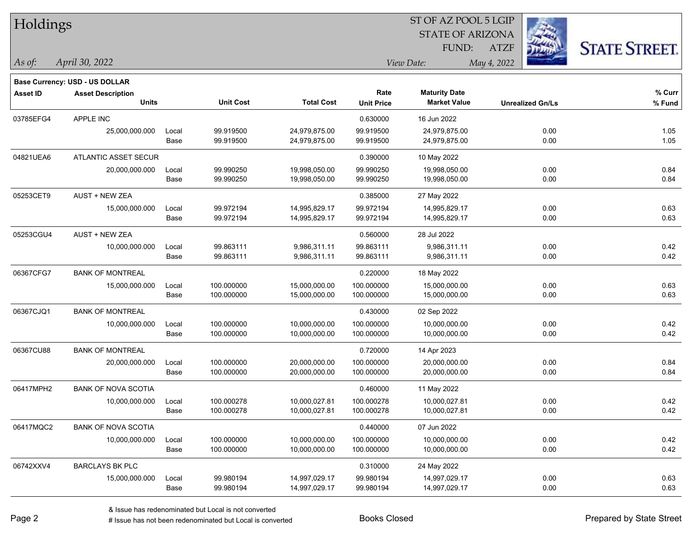| Holdings        |                                       |       |                  |                   |                   | ST OF AZ POOL 5 LGIP    |             |                         |                      |
|-----------------|---------------------------------------|-------|------------------|-------------------|-------------------|-------------------------|-------------|-------------------------|----------------------|
|                 |                                       |       |                  |                   |                   | <b>STATE OF ARIZONA</b> |             |                         |                      |
|                 |                                       |       |                  |                   |                   | FUND:                   | <b>ATZF</b> |                         | <b>STATE STREET.</b> |
| As of:          | April 30, 2022                        |       |                  |                   |                   | View Date:              | May 4, 2022 |                         |                      |
|                 | <b>Base Currency: USD - US DOLLAR</b> |       |                  |                   |                   |                         |             |                         |                      |
| <b>Asset ID</b> | <b>Asset Description</b>              |       |                  |                   | Rate              | <b>Maturity Date</b>    |             |                         | % Curr               |
|                 | <b>Units</b>                          |       | <b>Unit Cost</b> | <b>Total Cost</b> | <b>Unit Price</b> | <b>Market Value</b>     |             | <b>Unrealized Gn/Ls</b> | % Fund               |
| 03785EFG4       | APPLE INC                             |       |                  |                   | 0.630000          | 16 Jun 2022             |             |                         |                      |
|                 | 25,000,000.000                        | Local | 99.919500        | 24,979,875.00     | 99.919500         | 24,979,875.00           |             | 0.00                    | 1.05                 |
|                 |                                       | Base  | 99.919500        | 24,979,875.00     | 99.919500         | 24,979,875.00           |             | 0.00                    | 1.05                 |
| 04821UEA6       | <b>ATLANTIC ASSET SECUR</b>           |       |                  |                   | 0.390000          | 10 May 2022             |             |                         |                      |
|                 | 20,000,000.000                        | Local | 99.990250        | 19,998,050.00     | 99.990250         | 19,998,050.00           |             | 0.00                    | 0.84                 |
|                 |                                       | Base  | 99.990250        | 19,998,050.00     | 99.990250         | 19,998,050.00           |             | 0.00                    | 0.84                 |
| 05253CET9       | <b>AUST + NEW ZEA</b>                 |       |                  |                   | 0.385000          | 27 May 2022             |             |                         |                      |
|                 | 15,000,000.000                        | Local | 99.972194        | 14,995,829.17     | 99.972194         | 14,995,829.17           |             | 0.00                    | 0.63                 |
|                 |                                       | Base  | 99.972194        | 14,995,829.17     | 99.972194         | 14,995,829.17           |             | 0.00                    | 0.63                 |
| 05253CGU4       | <b>AUST + NEW ZEA</b>                 |       |                  |                   | 0.560000          | 28 Jul 2022             |             |                         |                      |
|                 | 10,000,000.000                        | Local | 99.863111        | 9,986,311.11      | 99.863111         | 9,986,311.11            |             | 0.00                    | 0.42                 |
|                 |                                       | Base  | 99.863111        | 9,986,311.11      | 99.863111         | 9,986,311.11            |             | 0.00                    | 0.42                 |
| 06367CFG7       | <b>BANK OF MONTREAL</b>               |       |                  |                   | 0.220000          | 18 May 2022             |             |                         |                      |
|                 | 15,000,000.000                        | Local | 100.000000       | 15,000,000.00     | 100.000000        | 15,000,000.00           |             | 0.00                    | 0.63                 |
|                 |                                       | Base  | 100.000000       | 15,000,000.00     | 100.000000        | 15,000,000.00           |             | 0.00                    | 0.63                 |
| 06367CJQ1       | <b>BANK OF MONTREAL</b>               |       |                  |                   | 0.430000          | 02 Sep 2022             |             |                         |                      |
|                 | 10,000,000.000                        | Local | 100.000000       | 10,000,000.00     | 100.000000        | 10,000,000.00           |             | 0.00                    | 0.42                 |
|                 |                                       | Base  | 100.000000       | 10,000,000.00     | 100.000000        | 10,000,000.00           |             | 0.00                    | 0.42                 |
| 06367CU88       | <b>BANK OF MONTREAL</b>               |       |                  |                   | 0.720000          | 14 Apr 2023             |             |                         |                      |
|                 | 20,000,000.000                        | Local | 100.000000       | 20,000,000.00     | 100.000000        | 20,000,000.00           |             | 0.00                    | 0.84                 |
|                 |                                       | Base  | 100.000000       | 20,000,000.00     | 100.000000        | 20,000,000.00           |             | 0.00                    | 0.84                 |
| 06417MPH2       | <b>BANK OF NOVA SCOTIA</b>            |       |                  |                   | 0.460000          | 11 May 2022             |             |                         |                      |
|                 | 10,000,000.000                        | Local | 100.000278       | 10,000,027.81     | 100.000278        | 10,000,027.81           |             | 0.00                    | 0.42                 |
|                 |                                       | Base  | 100.000278       | 10,000,027.81     | 100.000278        | 10,000,027.81           |             | 0.00                    | 0.42                 |
| 06417MQC2       | <b>BANK OF NOVA SCOTIA</b>            |       |                  |                   | 0.440000          | 07 Jun 2022             |             |                         |                      |
|                 | 10,000,000.000                        | Local | 100.000000       | 10,000,000.00     | 100.000000        | 10,000,000.00           |             | 0.00                    | 0.42                 |
|                 |                                       | Base  | 100.000000       | 10,000,000.00     | 100.000000        | 10,000,000.00           |             | 0.00                    | 0.42                 |
| 06742XXV4       | <b>BARCLAYS BK PLC</b>                |       |                  |                   | 0.310000          | 24 May 2022             |             |                         |                      |
|                 | 15,000,000.000                        | Local | 99.980194        | 14,997,029.17     | 99.980194         | 14,997,029.17           |             | 0.00                    | 0.63                 |
|                 |                                       | Base  | 99.980194        | 14,997,029.17     | 99.980194         | 14,997,029.17           |             | 0.00                    | 0.63                 |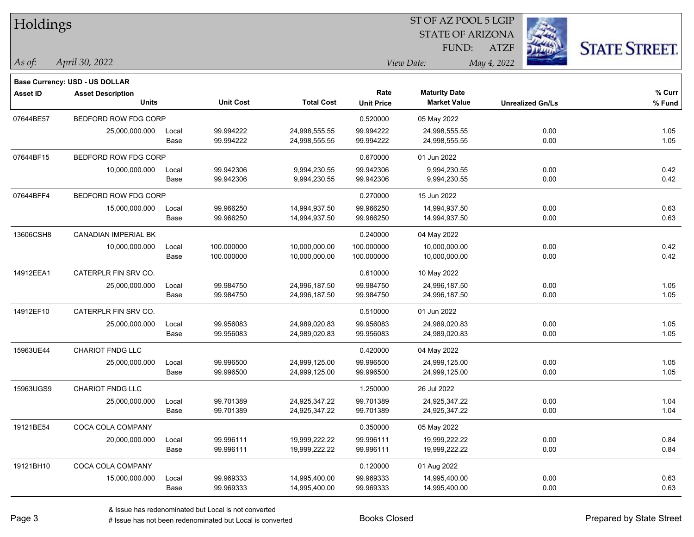| <b>Holdings</b> |                                       |       |                  |                   | 51 OF AZ POOL 5 LGIP |                         |                         |      |                      |  |
|-----------------|---------------------------------------|-------|------------------|-------------------|----------------------|-------------------------|-------------------------|------|----------------------|--|
|                 |                                       |       |                  |                   |                      | <b>STATE OF ARIZONA</b> |                         | Ź.   |                      |  |
|                 |                                       |       |                  |                   |                      | FUND:                   | <b>ATZF</b>             |      | <b>STATE STREET.</b> |  |
| As of:          | April 30, 2022                        |       |                  |                   |                      | View Date:              | May 4, 2022             |      |                      |  |
|                 | <b>Base Currency: USD - US DOLLAR</b> |       |                  |                   |                      |                         |                         |      |                      |  |
| <b>Asset ID</b> | <b>Asset Description</b>              |       |                  |                   | Rate                 | <b>Maturity Date</b>    |                         |      | % Curr               |  |
|                 | <b>Units</b>                          |       | <b>Unit Cost</b> | <b>Total Cost</b> | <b>Unit Price</b>    | <b>Market Value</b>     | <b>Unrealized Gn/Ls</b> |      | % Fund               |  |
| 07644BE57       | BEDFORD ROW FDG CORP                  |       |                  |                   | 0.520000             | 05 May 2022             |                         |      |                      |  |
|                 | 25,000,000.000                        | Local | 99.994222        | 24,998,555.55     | 99.994222            | 24,998,555.55           |                         | 0.00 | 1.05                 |  |
|                 |                                       | Base  | 99.994222        | 24,998,555.55     | 99.994222            | 24,998,555.55           |                         | 0.00 | 1.05                 |  |
| 07644BF15       | BEDFORD ROW FDG CORP                  |       |                  |                   | 0.670000             | 01 Jun 2022             |                         |      |                      |  |
|                 | 10,000,000.000                        | Local | 99.942306        | 9,994,230.55      | 99.942306            | 9,994,230.55            |                         | 0.00 | 0.42                 |  |
|                 |                                       | Base  | 99.942306        | 9,994,230.55      | 99.942306            | 9,994,230.55            |                         | 0.00 | 0.42                 |  |
| 07644BFF4       | BEDFORD ROW FDG CORP                  |       |                  |                   | 0.270000             | 15 Jun 2022             |                         |      |                      |  |
|                 | 15,000,000.000                        | Local | 99.966250        | 14,994,937.50     | 99.966250            | 14,994,937.50           |                         | 0.00 | 0.63                 |  |
|                 |                                       | Base  | 99.966250        | 14,994,937.50     | 99.966250            | 14,994,937.50           |                         | 0.00 | 0.63                 |  |
| 13606CSH8       | CANADIAN IMPERIAL BK                  |       |                  |                   | 0.240000             | 04 May 2022             |                         |      |                      |  |
|                 | 10,000,000.000                        | Local | 100.000000       | 10,000,000.00     | 100.000000           | 10,000,000.00           |                         | 0.00 | 0.42                 |  |
|                 |                                       | Base  | 100.000000       | 10,000,000.00     | 100.000000           | 10,000,000.00           |                         | 0.00 | 0.42                 |  |
| 14912EEA1       | CATERPLR FIN SRV CO.                  |       |                  |                   | 0.610000             | 10 May 2022             |                         |      |                      |  |
|                 | 25,000,000.000                        | Local | 99.984750        | 24,996,187.50     | 99.984750            | 24,996,187.50           |                         | 0.00 | 1.05                 |  |
|                 |                                       | Base  | 99.984750        | 24,996,187.50     | 99.984750            | 24,996,187.50           |                         | 0.00 | 1.05                 |  |
| 14912EF10       | CATERPLR FIN SRV CO.                  |       |                  |                   | 0.510000             | 01 Jun 2022             |                         |      |                      |  |
|                 | 25,000,000.000                        | Local | 99.956083        | 24,989,020.83     | 99.956083            | 24,989,020.83           |                         | 0.00 | 1.05                 |  |
|                 |                                       | Base  | 99.956083        | 24,989,020.83     | 99.956083            | 24,989,020.83           |                         | 0.00 | 1.05                 |  |
| 15963UE44       | <b>CHARIOT FNDG LLC</b>               |       |                  |                   | 0.420000             | 04 May 2022             |                         |      |                      |  |
|                 | 25,000,000.000                        | Local | 99.996500        | 24,999,125.00     | 99.996500            | 24,999,125.00           |                         | 0.00 | 1.05                 |  |
|                 |                                       | Base  | 99.996500        | 24,999,125.00     | 99.996500            | 24,999,125.00           |                         | 0.00 | 1.05                 |  |
| 15963UGS9       | <b>CHARIOT FNDG LLC</b>               |       |                  |                   | 1.250000             | 26 Jul 2022             |                         |      |                      |  |
|                 | 25,000,000.000                        | Local | 99.701389        | 24,925,347.22     | 99.701389            | 24,925,347.22           |                         | 0.00 | 1.04                 |  |
|                 |                                       | Base  | 99.701389        | 24,925,347.22     | 99.701389            | 24,925,347.22           |                         | 0.00 | 1.04                 |  |
| 19121BE54       | COCA COLA COMPANY                     |       |                  |                   | 0.350000             | 05 May 2022             |                         |      |                      |  |
|                 | 20,000,000.000                        | Local | 99.996111        | 19,999,222.22     | 99.996111            | 19,999,222.22           |                         | 0.00 | 0.84                 |  |
|                 |                                       | Base  | 99.996111        | 19,999,222.22     | 99.996111            | 19,999,222.22           |                         | 0.00 | 0.84                 |  |
| 19121BH10       | COCA COLA COMPANY                     |       |                  |                   | 0.120000             | 01 Aug 2022             |                         |      |                      |  |
|                 | 15,000,000.000                        | Local | 99.969333        | 14,995,400.00     | 99.969333            | 14,995,400.00           |                         | 0.00 | 0.63                 |  |
|                 |                                       | Base  | 99.969333        | 14,995,400.00     | 99.969333            | 14,995,400.00           |                         | 0.00 | 0.63                 |  |

 $\overline{S}$   $\overline{S}$   $\overline{S}$   $\overline{S}$   $\overline{S}$   $\overline{S}$   $\overline{S}$   $\overline{S}$   $\overline{S}$   $\overline{S}$   $\overline{S}$   $\overline{S}$   $\overline{S}$   $\overline{S}$   $\overline{S}$   $\overline{S}$   $\overline{S}$   $\overline{S}$   $\overline{S}$   $\overline{S}$   $\overline{S}$   $\overline{S}$   $\overline{S}$   $\overline{S}$   $\overline{$ 

٦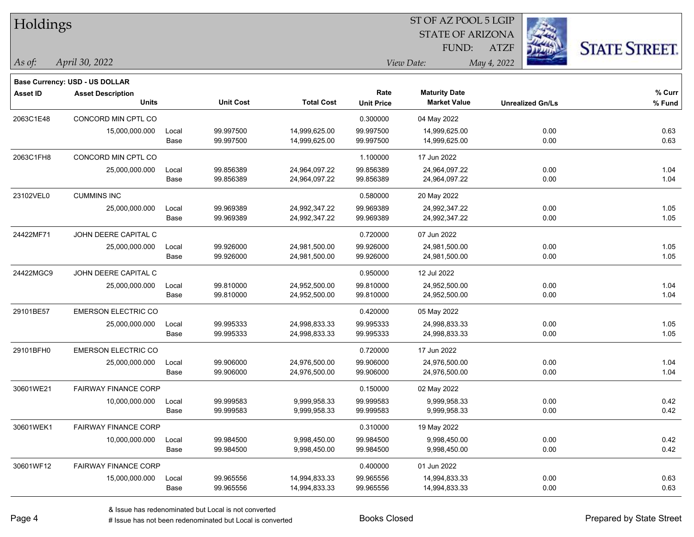| Holdings        |                                       |       |                  |                   |                   |                         |             |                         |                      |
|-----------------|---------------------------------------|-------|------------------|-------------------|-------------------|-------------------------|-------------|-------------------------|----------------------|
|                 |                                       |       |                  |                   |                   | <b>STATE OF ARIZONA</b> |             |                         |                      |
|                 |                                       |       |                  |                   |                   | FUND:                   | <b>ATZF</b> |                         | <b>STATE STREET.</b> |
| As of:          | April 30, 2022                        |       |                  |                   |                   | View Date:              | May 4, 2022 |                         |                      |
|                 | <b>Base Currency: USD - US DOLLAR</b> |       |                  |                   |                   |                         |             |                         |                      |
| <b>Asset ID</b> | <b>Asset Description</b>              |       |                  |                   | Rate              | <b>Maturity Date</b>    |             |                         | % Curr               |
|                 | <b>Units</b>                          |       | <b>Unit Cost</b> | <b>Total Cost</b> | <b>Unit Price</b> | <b>Market Value</b>     |             | <b>Unrealized Gn/Ls</b> | % Fund               |
| 2063C1E48       | CONCORD MIN CPTL CO                   |       |                  |                   | 0.300000          | 04 May 2022             |             |                         |                      |
|                 | 15,000,000.000                        | Local | 99.997500        | 14,999,625.00     | 99.997500         | 14,999,625.00           |             | 0.00                    | 0.63                 |
|                 |                                       | Base  | 99.997500        | 14,999,625.00     | 99.997500         | 14,999,625.00           |             | 0.00                    | 0.63                 |
| 2063C1FH8       | CONCORD MIN CPTL CO                   |       |                  |                   | 1.100000          | 17 Jun 2022             |             |                         |                      |
|                 | 25,000,000.000                        | Local | 99.856389        | 24,964,097.22     | 99.856389         | 24,964,097.22           |             | 0.00                    | 1.04                 |
|                 |                                       | Base  | 99.856389        | 24,964,097.22     | 99.856389         | 24,964,097.22           |             | 0.00                    | 1.04                 |
| 23102VEL0       | <b>CUMMINS INC</b>                    |       |                  |                   | 0.580000          | 20 May 2022             |             |                         |                      |
|                 | 25,000,000.000                        | Local | 99.969389        | 24,992,347.22     | 99.969389         | 24,992,347.22           |             | 0.00                    | 1.05                 |
|                 |                                       | Base  | 99.969389        | 24,992,347.22     | 99.969389         | 24,992,347.22           |             | 0.00                    | 1.05                 |
| 24422MF71       | JOHN DEERE CAPITAL C                  |       |                  |                   | 0.720000          | 07 Jun 2022             |             |                         |                      |
|                 | 25,000,000.000                        | Local | 99.926000        | 24,981,500.00     | 99.926000         | 24,981,500.00           |             | 0.00                    | 1.05                 |
|                 |                                       | Base  | 99.926000        | 24,981,500.00     | 99.926000         | 24,981,500.00           |             | 0.00                    | 1.05                 |
| 24422MGC9       | JOHN DEERE CAPITAL C                  |       |                  |                   | 0.950000          | 12 Jul 2022             |             |                         |                      |
|                 | 25,000,000.000                        | Local | 99.810000        | 24,952,500.00     | 99.810000         | 24,952,500.00           |             | 0.00                    | 1.04                 |
|                 |                                       | Base  | 99.810000        | 24,952,500.00     | 99.810000         | 24,952,500.00           |             | 0.00                    | 1.04                 |
| 29101BE57       | <b>EMERSON ELECTRIC CO</b>            |       |                  |                   | 0.420000          | 05 May 2022             |             |                         |                      |
|                 | 25,000,000.000                        | Local | 99.995333        | 24,998,833.33     | 99.995333         | 24,998,833.33           |             | 0.00                    | 1.05                 |
|                 |                                       | Base  | 99.995333        | 24,998,833.33     | 99.995333         | 24,998,833.33           |             | 0.00                    | 1.05                 |
| 29101BFH0       | <b>EMERSON ELECTRIC CO</b>            |       |                  |                   | 0.720000          | 17 Jun 2022             |             |                         |                      |
|                 | 25,000,000.000                        | Local | 99.906000        | 24,976,500.00     | 99.906000         | 24,976,500.00           |             | 0.00                    | 1.04                 |
|                 |                                       | Base  | 99.906000        | 24,976,500.00     | 99.906000         | 24,976,500.00           |             | 0.00                    | 1.04                 |
| 30601WE21       | <b>FAIRWAY FINANCE CORP</b>           |       |                  |                   | 0.150000          | 02 May 2022             |             |                         |                      |
|                 | 10,000,000.000                        | Local | 99.999583        | 9,999,958.33      | 99.999583         | 9,999,958.33            |             | 0.00                    | 0.42                 |
|                 |                                       | Base  | 99.999583        | 9,999,958.33      | 99.999583         | 9,999,958.33            |             | 0.00                    | 0.42                 |
| 30601WEK1       | <b>FAIRWAY FINANCE CORP</b>           |       |                  |                   | 0.310000          | 19 May 2022             |             |                         |                      |
|                 | 10,000,000.000                        | Local | 99.984500        | 9,998,450.00      | 99.984500         | 9,998,450.00            |             | 0.00                    | 0.42                 |
|                 |                                       | Base  | 99.984500        | 9,998,450.00      | 99.984500         | 9,998,450.00            |             | 0.00                    | 0.42                 |
| 30601WF12       | <b>FAIRWAY FINANCE CORP</b>           |       |                  |                   | 0.400000          | 01 Jun 2022             |             |                         |                      |
|                 | 15,000,000.000                        | Local | 99.965556        | 14,994,833.33     | 99.965556         | 14,994,833.33           |             | 0.00                    | 0.63                 |
|                 |                                       | Base  | 99.965556        | 14,994,833.33     | 99.965556         | 14,994,833.33           |             | 0.00                    | 0.63                 |

# Issue has not been redenominated but Local is converted Books Closed Prepared by State Street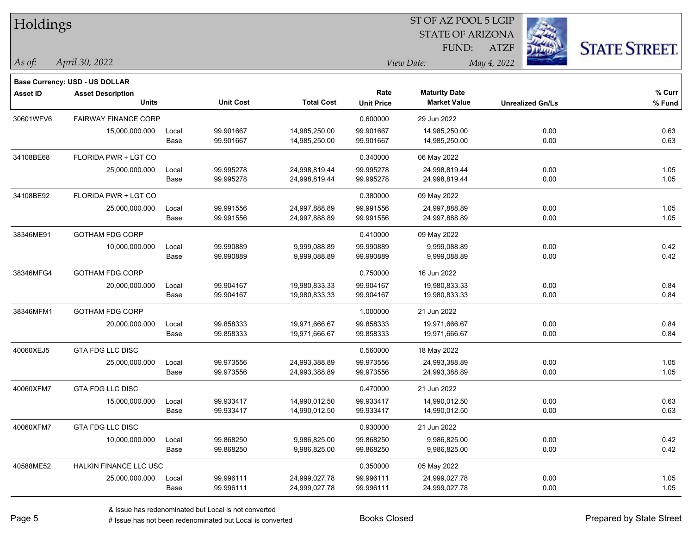| Holdings        |                                       |       |                  |                   | 51 OF AZ POOL 5 LGIP |                         |             |                         |                      |  |
|-----------------|---------------------------------------|-------|------------------|-------------------|----------------------|-------------------------|-------------|-------------------------|----------------------|--|
|                 |                                       |       |                  |                   |                      | <b>STATE OF ARIZONA</b> |             | é.                      |                      |  |
|                 |                                       |       |                  |                   |                      | FUND:                   | <b>ATZF</b> |                         | <b>STATE STREET.</b> |  |
| As of:          | April 30, 2022                        |       |                  |                   |                      | View Date:              | May 4, 2022 |                         |                      |  |
|                 | <b>Base Currency: USD - US DOLLAR</b> |       |                  |                   |                      |                         |             |                         |                      |  |
| <b>Asset ID</b> | <b>Asset Description</b>              |       |                  |                   | Rate                 | <b>Maturity Date</b>    |             |                         | % Curr               |  |
|                 | <b>Units</b>                          |       | <b>Unit Cost</b> | <b>Total Cost</b> | <b>Unit Price</b>    | <b>Market Value</b>     |             | <b>Unrealized Gn/Ls</b> | % Fund               |  |
| 30601WFV6       | <b>FAIRWAY FINANCE CORP</b>           |       |                  |                   | 0.600000             | 29 Jun 2022             |             |                         |                      |  |
|                 | 15,000,000.000                        | Local | 99.901667        | 14,985,250.00     | 99.901667            | 14,985,250.00           |             | 0.00                    | 0.63                 |  |
|                 |                                       | Base  | 99.901667        | 14,985,250.00     | 99.901667            | 14,985,250.00           |             | 0.00                    | 0.63                 |  |
| 34108BE68       | FLORIDA PWR + LGT CO                  |       |                  |                   | 0.340000             | 06 May 2022             |             |                         |                      |  |
|                 | 25,000,000.000                        | Local | 99.995278        | 24,998,819.44     | 99.995278            | 24,998,819.44           |             | 0.00                    | 1.05                 |  |
|                 |                                       | Base  | 99.995278        | 24,998,819.44     | 99.995278            | 24,998,819.44           |             | 0.00                    | 1.05                 |  |
| 34108BE92       | FLORIDA PWR + LGT CO                  |       |                  |                   | 0.380000             | 09 May 2022             |             |                         |                      |  |
|                 | 25,000,000.000                        | Local | 99.991556        | 24,997,888.89     | 99.991556            | 24,997,888.89           |             | 0.00                    | 1.05                 |  |
|                 |                                       | Base  | 99.991556        | 24,997,888.89     | 99.991556            | 24,997,888.89           |             | 0.00                    | 1.05                 |  |
| 38346ME91       | <b>GOTHAM FDG CORP</b>                |       |                  |                   | 0.410000             | 09 May 2022             |             |                         |                      |  |
|                 | 10,000,000.000                        | Local | 99.990889        | 9,999,088.89      | 99.990889            | 9,999,088.89            |             | 0.00                    | 0.42                 |  |
|                 |                                       | Base  | 99.990889        | 9,999,088.89      | 99.990889            | 9,999,088.89            |             | 0.00                    | 0.42                 |  |
| 38346MFG4       | <b>GOTHAM FDG CORP</b>                |       |                  |                   | 0.750000             | 16 Jun 2022             |             |                         |                      |  |
|                 | 20,000,000.000                        | Local | 99.904167        | 19,980,833.33     | 99.904167            | 19,980,833.33           |             | 0.00                    | 0.84                 |  |
|                 |                                       | Base  | 99.904167        | 19,980,833.33     | 99.904167            | 19,980,833.33           |             | 0.00                    | 0.84                 |  |
| 38346MFM1       | <b>GOTHAM FDG CORP</b>                |       |                  |                   | 1.000000             | 21 Jun 2022             |             |                         |                      |  |
|                 | 20,000,000.000                        | Local | 99.858333        | 19,971,666.67     | 99.858333            | 19,971,666.67           |             | 0.00                    | 0.84                 |  |
|                 |                                       | Base  | 99.858333        | 19,971,666.67     | 99.858333            | 19,971,666.67           |             | 0.00                    | 0.84                 |  |
| 40060XEJ5       | GTA FDG LLC DISC                      |       |                  |                   | 0.560000             | 18 May 2022             |             |                         |                      |  |
|                 | 25,000,000.000                        | Local | 99.973556        | 24,993,388.89     | 99.973556            | 24,993,388.89           |             | 0.00                    | 1.05                 |  |
|                 |                                       | Base  | 99.973556        | 24,993,388.89     | 99.973556            | 24,993,388.89           |             | 0.00                    | 1.05                 |  |
| 40060XFM7       | <b>GTA FDG LLC DISC</b>               |       |                  |                   | 0.470000             | 21 Jun 2022             |             |                         |                      |  |
|                 | 15,000,000.000                        | Local | 99.933417        | 14,990,012.50     | 99.933417            | 14,990,012.50           |             | 0.00                    | 0.63                 |  |
|                 |                                       | Base  | 99.933417        | 14,990,012.50     | 99.933417            | 14,990,012.50           |             | 0.00                    | 0.63                 |  |
| 40060XFM7       | GTA FDG LLC DISC                      |       |                  |                   | 0.930000             | 21 Jun 2022             |             |                         |                      |  |
|                 | 10,000,000.000                        | Local | 99.868250        | 9,986,825.00      | 99.868250            | 9,986,825.00            |             | 0.00                    | 0.42                 |  |
|                 |                                       | Base  | 99.868250        | 9,986,825.00      | 99.868250            | 9,986,825.00            |             | 0.00                    | 0.42                 |  |
| 40588ME52       | HALKIN FINANCE LLC USC                |       |                  |                   | 0.350000             | 05 May 2022             |             |                         |                      |  |
|                 | 25,000,000.000                        | Local | 99.996111        | 24,999,027.78     | 99.996111            | 24,999,027.78           |             | 0.00                    | 1.05                 |  |
|                 |                                       | Base  | 99.996111        | 24,999,027.78     | 99.996111            | 24,999,027.78           |             | 0.00                    | 1.05                 |  |

 $ST$  OF AZ POOL 5 LGIP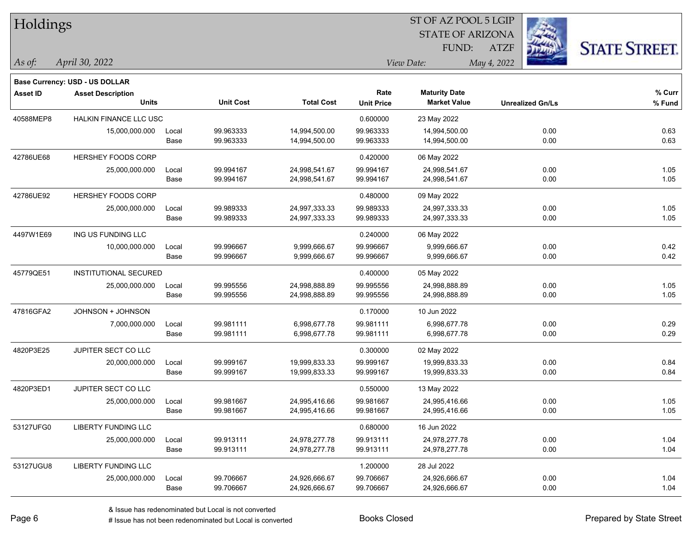| Holdings        |                                       |       |                  |                   | ST OF AZ POOL 5 LGIP |                         |                         |                      |  |  |
|-----------------|---------------------------------------|-------|------------------|-------------------|----------------------|-------------------------|-------------------------|----------------------|--|--|
|                 |                                       |       |                  |                   |                      | <b>STATE OF ARIZONA</b> |                         |                      |  |  |
|                 |                                       |       |                  |                   |                      | FUND:                   | <b>ATZF</b>             | <b>STATE STREET.</b> |  |  |
| As of:          | April 30, 2022                        |       |                  |                   |                      | View Date:              | May 4, 2022             |                      |  |  |
|                 | <b>Base Currency: USD - US DOLLAR</b> |       |                  |                   |                      |                         |                         |                      |  |  |
| <b>Asset ID</b> | <b>Asset Description</b>              |       |                  |                   | Rate                 | <b>Maturity Date</b>    |                         | % Curr               |  |  |
|                 | <b>Units</b>                          |       | <b>Unit Cost</b> | <b>Total Cost</b> | <b>Unit Price</b>    | <b>Market Value</b>     | <b>Unrealized Gn/Ls</b> | % Fund               |  |  |
| 40588MEP8       | HALKIN FINANCE LLC USC                |       |                  |                   | 0.600000             | 23 May 2022             |                         |                      |  |  |
|                 | 15,000,000.000                        | Local | 99.963333        | 14,994,500.00     | 99.963333            | 14,994,500.00           | 0.00                    | 0.63                 |  |  |
|                 |                                       | Base  | 99.963333        | 14,994,500.00     | 99.963333            | 14,994,500.00           | 0.00                    | 0.63                 |  |  |
| 42786UE68       | HERSHEY FOODS CORP                    |       |                  |                   | 0.420000             | 06 May 2022             |                         |                      |  |  |
|                 | 25,000,000.000                        | Local | 99.994167        | 24,998,541.67     | 99.994167            | 24,998,541.67           | 0.00                    | 1.05                 |  |  |
|                 |                                       | Base  | 99.994167        | 24,998,541.67     | 99.994167            | 24,998,541.67           | 0.00                    | 1.05                 |  |  |
| 42786UE92       | <b>HERSHEY FOODS CORP</b>             |       |                  |                   | 0.480000             | 09 May 2022             |                         |                      |  |  |
|                 | 25,000,000.000                        | Local | 99.989333        | 24,997,333.33     | 99.989333            | 24,997,333.33           | 0.00                    | 1.05                 |  |  |
|                 |                                       | Base  | 99.989333        | 24,997,333.33     | 99.989333            | 24,997,333.33           | 0.00                    | 1.05                 |  |  |
| 4497W1E69       | ING US FUNDING LLC                    |       |                  |                   | 0.240000             | 06 May 2022             |                         |                      |  |  |
|                 | 10,000,000.000                        | Local | 99.996667        | 9,999,666.67      | 99.996667            | 9,999,666.67            | 0.00                    | 0.42                 |  |  |
|                 |                                       | Base  | 99.996667        | 9,999,666.67      | 99.996667            | 9,999,666.67            | 0.00                    | 0.42                 |  |  |
| 45779QE51       | <b>INSTITUTIONAL SECURED</b>          |       |                  |                   | 0.400000             | 05 May 2022             |                         |                      |  |  |
|                 | 25,000,000.000                        | Local | 99.995556        | 24,998,888.89     | 99.995556            | 24,998,888.89           | 0.00                    | 1.05                 |  |  |
|                 |                                       | Base  | 99.995556        | 24,998,888.89     | 99.995556            | 24,998,888.89           | 0.00                    | 1.05                 |  |  |
| 47816GFA2       | JOHNSON + JOHNSON                     |       |                  |                   | 0.170000             | 10 Jun 2022             |                         |                      |  |  |
|                 | 7,000,000.000                         | Local | 99.981111        | 6,998,677.78      | 99.981111            | 6,998,677.78            | 0.00                    | 0.29                 |  |  |
|                 |                                       | Base  | 99.981111        | 6,998,677.78      | 99.981111            | 6,998,677.78            | 0.00                    | 0.29                 |  |  |
| 4820P3E25       | JUPITER SECT CO LLC                   |       |                  |                   | 0.300000             | 02 May 2022             |                         |                      |  |  |
|                 | 20,000,000.000                        | Local | 99.999167        | 19,999,833.33     | 99.999167            | 19,999,833.33           | 0.00                    | 0.84                 |  |  |
|                 |                                       | Base  | 99.999167        | 19,999,833.33     | 99.999167            | 19,999,833.33           | 0.00                    | 0.84                 |  |  |
| 4820P3ED1       | JUPITER SECT CO LLC                   |       |                  |                   | 0.550000             | 13 May 2022             |                         |                      |  |  |
|                 | 25,000,000.000                        | Local | 99.981667        | 24,995,416.66     | 99.981667            | 24,995,416.66           | 0.00                    | 1.05                 |  |  |
|                 |                                       | Base  | 99.981667        | 24,995,416.66     | 99.981667            | 24,995,416.66           | 0.00                    | 1.05                 |  |  |
| 53127UFG0       | LIBERTY FUNDING LLC                   |       |                  |                   | 0.680000             | 16 Jun 2022             |                         |                      |  |  |
|                 | 25,000,000.000                        | Local | 99.913111        | 24,978,277.78     | 99.913111            | 24,978,277.78           | 0.00                    | 1.04                 |  |  |
|                 |                                       | Base  | 99.913111        | 24,978,277.78     | 99.913111            | 24,978,277.78           | 0.00                    | 1.04                 |  |  |
| 53127UGU8       | LIBERTY FUNDING LLC                   |       |                  |                   | 1.200000             | 28 Jul 2022             |                         |                      |  |  |
|                 | 25,000,000.000                        | Local | 99.706667        | 24,926,666.67     | 99.706667            | 24,926,666.67           | 0.00                    | 1.04                 |  |  |
|                 |                                       | Base  | 99.706667        | 24,926,666.67     | 99.706667            | 24,926,666.67           | 0.00                    | 1.04                 |  |  |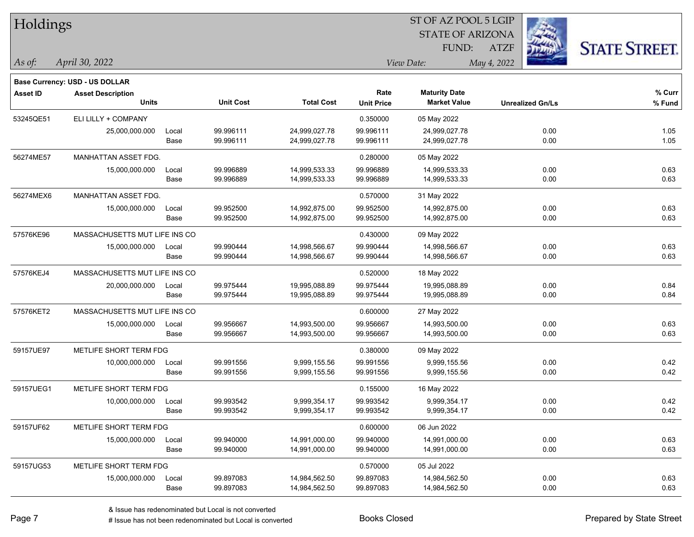| <b>Holdings</b> |                                       |       |                  |                   | 51 OF AZ POOL 5 LGIP |                         |                         |                      |  |  |  |
|-----------------|---------------------------------------|-------|------------------|-------------------|----------------------|-------------------------|-------------------------|----------------------|--|--|--|
|                 |                                       |       |                  |                   |                      | <b>STATE OF ARIZONA</b> | Ź.                      |                      |  |  |  |
|                 |                                       |       |                  |                   |                      | FUND:                   | <b>ATZF</b>             | <b>STATE STREET.</b> |  |  |  |
| As of:          | April 30, 2022                        |       |                  |                   |                      | View Date:              | May 4, 2022             |                      |  |  |  |
|                 | <b>Base Currency: USD - US DOLLAR</b> |       |                  |                   |                      |                         |                         |                      |  |  |  |
| <b>Asset ID</b> | <b>Asset Description</b>              |       |                  |                   | Rate                 | <b>Maturity Date</b>    |                         | % Curr               |  |  |  |
|                 | <b>Units</b>                          |       | <b>Unit Cost</b> | <b>Total Cost</b> | <b>Unit Price</b>    | <b>Market Value</b>     | <b>Unrealized Gn/Ls</b> | % Fund               |  |  |  |
| 53245QE51       | ELI LILLY + COMPANY                   |       |                  |                   | 0.350000             | 05 May 2022             |                         |                      |  |  |  |
|                 | 25,000,000.000                        | Local | 99.996111        | 24,999,027.78     | 99.996111            | 24,999,027.78           | 0.00                    | 1.05                 |  |  |  |
|                 |                                       | Base  | 99.996111        | 24,999,027.78     | 99.996111            | 24,999,027.78           | 0.00                    | 1.05                 |  |  |  |
| 56274ME57       | MANHATTAN ASSET FDG.                  |       |                  |                   | 0.280000             | 05 May 2022             |                         |                      |  |  |  |
|                 | 15,000,000.000                        | Local | 99.996889        | 14,999,533.33     | 99.996889            | 14,999,533.33           | 0.00                    | 0.63                 |  |  |  |
|                 |                                       | Base  | 99.996889        | 14,999,533.33     | 99.996889            | 14,999,533.33           | 0.00                    | 0.63                 |  |  |  |
| 56274MEX6       | MANHATTAN ASSET FDG.                  |       |                  |                   | 0.570000             | 31 May 2022             |                         |                      |  |  |  |
|                 | 15,000,000.000                        | Local | 99.952500        | 14,992,875.00     | 99.952500            | 14,992,875.00           | 0.00                    | 0.63                 |  |  |  |
|                 |                                       | Base  | 99.952500        | 14,992,875.00     | 99.952500            | 14,992,875.00           | 0.00                    | 0.63                 |  |  |  |
| 57576KE96       | MASSACHUSETTS MUT LIFE INS CO         |       |                  |                   | 0.430000             | 09 May 2022             |                         |                      |  |  |  |
|                 | 15,000,000.000                        | Local | 99.990444        | 14,998,566.67     | 99.990444            | 14,998,566.67           | 0.00                    | 0.63                 |  |  |  |
|                 |                                       | Base  | 99.990444        | 14,998,566.67     | 99.990444            | 14,998,566.67           | 0.00                    | 0.63                 |  |  |  |
| 57576KEJ4       | MASSACHUSETTS MUT LIFE INS CO         |       |                  |                   | 0.520000             | 18 May 2022             |                         |                      |  |  |  |
|                 | 20,000,000.000                        | Local | 99.975444        | 19,995,088.89     | 99.975444            | 19,995,088.89           | 0.00                    | 0.84                 |  |  |  |
|                 |                                       | Base  | 99.975444        | 19,995,088.89     | 99.975444            | 19,995,088.89           | 0.00                    | 0.84                 |  |  |  |
| 57576KET2       | MASSACHUSETTS MUT LIFE INS CO         |       |                  |                   | 0.600000             | 27 May 2022             |                         |                      |  |  |  |
|                 | 15,000,000.000                        | Local | 99.956667        | 14,993,500.00     | 99.956667            | 14,993,500.00           | 0.00                    | 0.63                 |  |  |  |
|                 |                                       | Base  | 99.956667        | 14,993,500.00     | 99.956667            | 14,993,500.00           | 0.00                    | 0.63                 |  |  |  |
| 59157UE97       | METLIFE SHORT TERM FDG                |       |                  |                   | 0.380000             | 09 May 2022             |                         |                      |  |  |  |
|                 | 10,000,000.000                        | Local | 99.991556        | 9,999,155.56      | 99.991556            | 9,999,155.56            | 0.00                    | 0.42                 |  |  |  |
|                 |                                       | Base  | 99.991556        | 9,999,155.56      | 99.991556            | 9,999,155.56            | 0.00                    | 0.42                 |  |  |  |
| 59157UEG1       | METLIFE SHORT TERM FDG                |       |                  |                   | 0.155000             | 16 May 2022             |                         |                      |  |  |  |
|                 | 10,000,000.000                        | Local | 99.993542        | 9,999,354.17      | 99.993542            | 9,999,354.17            | 0.00                    | 0.42                 |  |  |  |
|                 |                                       | Base  | 99.993542        | 9,999,354.17      | 99.993542            | 9,999,354.17            | 0.00                    | 0.42                 |  |  |  |
| 59157UF62       | METLIFE SHORT TERM FDG                |       |                  |                   | 0.600000             | 06 Jun 2022             |                         |                      |  |  |  |
|                 | 15,000,000.000                        | Local | 99.940000        | 14,991,000.00     | 99.940000            | 14,991,000.00           | 0.00                    | 0.63                 |  |  |  |
|                 |                                       | Base  | 99.940000        | 14,991,000.00     | 99.940000            | 14,991,000.00           | 0.00                    | 0.63                 |  |  |  |
| 59157UG53       | METLIFE SHORT TERM FDG                |       |                  |                   | 0.570000             | 05 Jul 2022             |                         |                      |  |  |  |
|                 | 15,000,000.000                        | Local | 99.897083        | 14,984,562.50     | 99.897083            | 14,984,562.50           | 0.00                    | 0.63                 |  |  |  |
|                 |                                       | Base  | 99.897083        | 14,984,562.50     | 99.897083            | 14,984,562.50           | 0.00                    | 0.63                 |  |  |  |

 $\overline{S}$   $\overline{S}$   $\overline{S}$   $\overline{S}$   $\overline{S}$   $\overline{S}$   $\overline{S}$   $\overline{S}$   $\overline{S}$   $\overline{S}$   $\overline{S}$   $\overline{S}$   $\overline{S}$   $\overline{S}$   $\overline{S}$   $\overline{S}$   $\overline{S}$   $\overline{S}$   $\overline{S}$   $\overline{S}$   $\overline{S}$   $\overline{S}$   $\overline{S}$   $\overline{S}$   $\overline{$ 

٦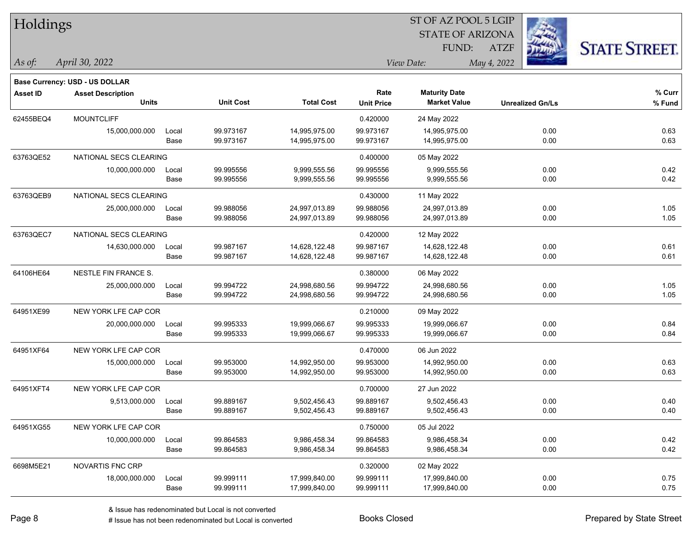| Holdings        |                                          |       |                  |                   | ST OF AZ POOL 5 LGIP      |                                             |                         |                      |  |  |
|-----------------|------------------------------------------|-------|------------------|-------------------|---------------------------|---------------------------------------------|-------------------------|----------------------|--|--|
|                 |                                          |       |                  |                   |                           | <b>STATE OF ARIZONA</b>                     |                         |                      |  |  |
|                 |                                          |       |                  |                   |                           | FUND:                                       | <b>ATZF</b>             | <b>STATE STREET.</b> |  |  |
| $\vert$ As of:  | April 30, 2022                           |       |                  |                   |                           | View Date:                                  | May 4, 2022             |                      |  |  |
|                 |                                          |       |                  |                   |                           |                                             |                         |                      |  |  |
|                 | Base Currency: USD - US DOLLAR           |       |                  |                   |                           |                                             |                         |                      |  |  |
| <b>Asset ID</b> | <b>Asset Description</b><br><b>Units</b> |       | <b>Unit Cost</b> | <b>Total Cost</b> | Rate<br><b>Unit Price</b> | <b>Maturity Date</b><br><b>Market Value</b> | <b>Unrealized Gn/Ls</b> | % Curr<br>% Fund     |  |  |
|                 |                                          |       |                  |                   |                           |                                             |                         |                      |  |  |
| 62455BEQ4       | <b>MOUNTCLIFF</b>                        |       |                  |                   | 0.420000                  | 24 May 2022                                 |                         |                      |  |  |
|                 | 15,000,000.000                           | Local | 99.973167        | 14,995,975.00     | 99.973167                 | 14,995,975.00                               | 0.00                    | 0.63                 |  |  |
|                 |                                          | Base  | 99.973167        | 14,995,975.00     | 99.973167                 | 14,995,975.00                               | 0.00                    | 0.63                 |  |  |
| 63763QE52       | NATIONAL SECS CLEARING                   |       |                  |                   | 0.400000                  | 05 May 2022                                 |                         |                      |  |  |
|                 | 10,000,000.000                           | Local | 99.995556        | 9,999,555.56      | 99.995556                 | 9,999,555.56                                | 0.00                    | 0.42                 |  |  |
|                 |                                          | Base  | 99.995556        | 9,999,555.56      | 99.995556                 | 9,999,555.56                                | 0.00                    | 0.42                 |  |  |
| 63763QEB9       | NATIONAL SECS CLEARING                   |       |                  |                   | 0.430000                  | 11 May 2022                                 |                         |                      |  |  |
|                 | 25,000,000.000                           | Local | 99.988056        | 24,997,013.89     | 99.988056                 | 24,997,013.89                               | 0.00                    | 1.05                 |  |  |
|                 |                                          | Base  | 99.988056        | 24,997,013.89     | 99.988056                 | 24,997,013.89                               | 0.00                    | 1.05                 |  |  |
| 63763QEC7       | NATIONAL SECS CLEARING                   |       |                  |                   | 0.420000                  | 12 May 2022                                 |                         |                      |  |  |
|                 | 14,630,000.000                           | Local | 99.987167        | 14,628,122.48     | 99.987167                 | 14,628,122.48                               | 0.00                    | 0.61                 |  |  |
|                 |                                          | Base  | 99.987167        | 14,628,122.48     | 99.987167                 | 14,628,122.48                               | 0.00                    | 0.61                 |  |  |
| 64106HE64       | NESTLE FIN FRANCE S.                     |       |                  |                   | 0.380000                  | 06 May 2022                                 |                         |                      |  |  |
|                 | 25,000,000.000                           | Local | 99.994722        | 24,998,680.56     | 99.994722                 | 24,998,680.56                               | 0.00                    | 1.05                 |  |  |
|                 |                                          | Base  | 99.994722        | 24,998,680.56     | 99.994722                 | 24,998,680.56                               | 0.00                    | 1.05                 |  |  |
| 64951XE99       | NEW YORK LFE CAP COR                     |       |                  |                   | 0.210000                  | 09 May 2022                                 |                         |                      |  |  |
|                 | 20,000,000.000                           | Local | 99.995333        | 19,999,066.67     | 99.995333                 | 19,999,066.67                               | 0.00                    | 0.84                 |  |  |
|                 |                                          | Base  | 99.995333        | 19,999,066.67     | 99.995333                 | 19,999,066.67                               | 0.00                    | 0.84                 |  |  |
| 64951XF64       | NEW YORK LFE CAP COR                     |       |                  |                   | 0.470000                  | 06 Jun 2022                                 |                         |                      |  |  |
|                 | 15,000,000.000                           | Local | 99.953000        | 14,992,950.00     | 99.953000                 | 14,992,950.00                               | 0.00                    | 0.63                 |  |  |
|                 |                                          | Base  | 99.953000        | 14,992,950.00     | 99.953000                 | 14,992,950.00                               | 0.00                    | 0.63                 |  |  |
| 64951XFT4       | NEW YORK LFE CAP COR                     |       |                  |                   | 0.700000                  | 27 Jun 2022                                 |                         |                      |  |  |
|                 | 9,513,000.000                            | Local | 99.889167        | 9,502,456.43      | 99.889167                 | 9,502,456.43                                | 0.00                    | 0.40                 |  |  |
|                 |                                          | Base  | 99.889167        | 9,502,456.43      | 99.889167                 | 9,502,456.43                                | 0.00                    | 0.40                 |  |  |
| 64951XG55       | NEW YORK LFE CAP COR                     |       |                  |                   | 0.750000                  | 05 Jul 2022                                 |                         |                      |  |  |
|                 | 10,000,000.000                           | Local | 99.864583        | 9,986,458.34      | 99.864583                 | 9,986,458.34                                | 0.00                    | 0.42                 |  |  |
|                 |                                          | Base  | 99.864583        | 9,986,458.34      | 99.864583                 | 9,986,458.34                                | 0.00                    | 0.42                 |  |  |
| 6698M5E21       | <b>NOVARTIS FNC CRP</b>                  |       |                  |                   | 0.320000                  | 02 May 2022                                 |                         |                      |  |  |
|                 | 18,000,000.000                           | Local | 99.999111        | 17,999,840.00     | 99.999111                 | 17,999,840.00                               | 0.00                    | 0.75                 |  |  |
|                 |                                          | Base  | 99.999111        | 17,999,840.00     | 99.999111                 | 17,999,840.00                               | 0.00                    | 0.75                 |  |  |
|                 |                                          |       |                  |                   |                           |                                             |                         |                      |  |  |

٦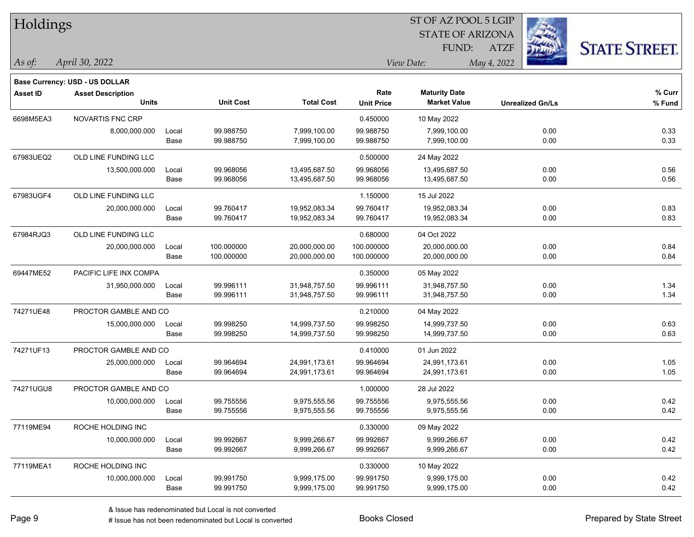|                                       |                          |                                                                                                   |                  |                   |                      |                         | <b>STATE STREET.</b>                                                                |  |  |
|---------------------------------------|--------------------------|---------------------------------------------------------------------------------------------------|------------------|-------------------|----------------------|-------------------------|-------------------------------------------------------------------------------------|--|--|
| April 30, 2022                        |                          |                                                                                                   |                  |                   |                      |                         |                                                                                     |  |  |
| <b>Base Currency: USD - US DOLLAR</b> |                          |                                                                                                   |                  |                   |                      |                         |                                                                                     |  |  |
| <b>Asset Description</b>              |                          |                                                                                                   |                  | Rate              | <b>Maturity Date</b> |                         | % Curr                                                                              |  |  |
|                                       |                          |                                                                                                   |                  | <b>Unit Price</b> | <b>Market Value</b>  | <b>Unrealized Gn/Ls</b> | $%$ Fund                                                                            |  |  |
| NOVARTIS FNC CRP                      |                          |                                                                                                   |                  | 0.450000          | 10 May 2022          |                         |                                                                                     |  |  |
| 8,000,000.000                         | Local                    | 99.988750                                                                                         | 7,999,100.00     | 99.988750         | 7,999,100.00         | 0.00                    | 0.33                                                                                |  |  |
|                                       | Base                     | 99.988750                                                                                         | 7,999,100.00     | 99.988750         | 7,999,100.00         | 0.00                    | 0.33                                                                                |  |  |
| OLD LINE FUNDING LLC                  |                          |                                                                                                   |                  | 0.500000          | 24 May 2022          |                         |                                                                                     |  |  |
| 13,500,000.000                        | Local                    | 99.968056                                                                                         | 13,495,687.50    | 99.968056         | 13,495,687.50        | 0.00                    | 0.56                                                                                |  |  |
|                                       | Base                     | 99.968056                                                                                         | 13,495,687.50    | 99.968056         | 13,495,687.50        | 0.00                    | 0.56                                                                                |  |  |
| OLD LINE FUNDING LLC                  |                          |                                                                                                   |                  | 1.150000          | 15 Jul 2022          |                         |                                                                                     |  |  |
| 20,000,000.000                        | Local                    | 99.760417                                                                                         | 19,952,083.34    | 99.760417         | 19,952,083.34        | 0.00                    | 0.83                                                                                |  |  |
|                                       | Base                     | 99.760417                                                                                         | 19,952,083.34    | 99.760417         | 19,952,083.34        | 0.00                    | 0.83                                                                                |  |  |
| OLD LINE FUNDING LLC                  |                          |                                                                                                   |                  | 0.680000          | 04 Oct 2022          |                         |                                                                                     |  |  |
| 20,000,000.000                        | Local                    | 100.000000                                                                                        | 20,000,000.00    | 100.000000        | 20,000,000.00        | 0.00                    | 0.84                                                                                |  |  |
|                                       | Base                     | 100.000000                                                                                        | 20,000,000.00    | 100.000000        | 20,000,000.00        | 0.00                    | 0.84                                                                                |  |  |
|                                       |                          |                                                                                                   |                  | 0.350000          | 05 May 2022          |                         |                                                                                     |  |  |
| 31,950,000.000                        | Local                    | 99.996111                                                                                         | 31,948,757.50    | 99.996111         | 31,948,757.50        | 0.00                    | 1.34                                                                                |  |  |
|                                       | Base                     | 99.996111                                                                                         | 31,948,757.50    | 99.996111         | 31,948,757.50        | 0.00                    | 1.34                                                                                |  |  |
|                                       |                          |                                                                                                   |                  | 0.210000          | 04 May 2022          |                         |                                                                                     |  |  |
| 15,000,000.000                        | Local                    | 99.998250                                                                                         | 14,999,737.50    | 99.998250         | 14,999,737.50        | 0.00                    | 0.63                                                                                |  |  |
|                                       | Base                     | 99.998250                                                                                         | 14,999,737.50    | 99.998250         | 14,999,737.50        | 0.00                    | 0.63                                                                                |  |  |
|                                       |                          |                                                                                                   |                  | 0.410000          | 01 Jun 2022          |                         |                                                                                     |  |  |
| 25,000,000.000                        | Local                    | 99.964694                                                                                         | 24,991,173.61    | 99.964694         | 24,991,173.61        | 0.00                    | 1.05                                                                                |  |  |
|                                       | Base                     | 99.964694                                                                                         | 24,991,173.61    | 99.964694         | 24,991,173.61        | 0.00                    | 1.05                                                                                |  |  |
|                                       |                          |                                                                                                   |                  | 1.000000          | 28 Jul 2022          |                         |                                                                                     |  |  |
| 10,000,000.000                        | Local                    | 99.755556                                                                                         | 9,975,555.56     | 99.755556         | 9,975,555.56         | 0.00                    | 0.42                                                                                |  |  |
|                                       | Base                     | 99.755556                                                                                         | 9,975,555.56     | 99.755556         | 9,975,555.56         | 0.00                    | 0.42                                                                                |  |  |
| ROCHE HOLDING INC                     |                          |                                                                                                   |                  | 0.330000          | 09 May 2022          |                         |                                                                                     |  |  |
| 10,000,000.000                        | Local                    | 99.992667                                                                                         | 9,999,266.67     | 99.992667         | 9,999,266.67         | 0.00                    | 0.42                                                                                |  |  |
|                                       | Base                     | 99.992667                                                                                         | 9,999,266.67     | 99.992667         | 9,999,266.67         | 0.00                    | 0.42                                                                                |  |  |
| ROCHE HOLDING INC                     |                          |                                                                                                   |                  | 0.330000          | 10 May 2022          |                         |                                                                                     |  |  |
| 10,000,000.000                        | Local                    | 99.991750                                                                                         | 9,999,175.00     | 99.991750         | 9,999,175.00         | 0.00                    | 0.42                                                                                |  |  |
|                                       | Base                     | 99.991750                                                                                         | 9,999,175.00     | 99.991750         | 9,999,175.00         | 0.00                    | 0.42                                                                                |  |  |
|                                       | Holdings<br><b>Units</b> | PACIFIC LIFE INX COMPA<br>PROCTOR GAMBLE AND CO<br>PROCTOR GAMBLE AND CO<br>PROCTOR GAMBLE AND CO | <b>Unit Cost</b> | <b>Total Cost</b> |                      | FUND:<br>View Date:     | 51 OF AZ POOL 5 LGIP<br>i.<br><b>STATE OF ARIZONA</b><br><b>ATZF</b><br>May 4, 2022 |  |  |

 $ST$  OF AZ POOL 5 LGIP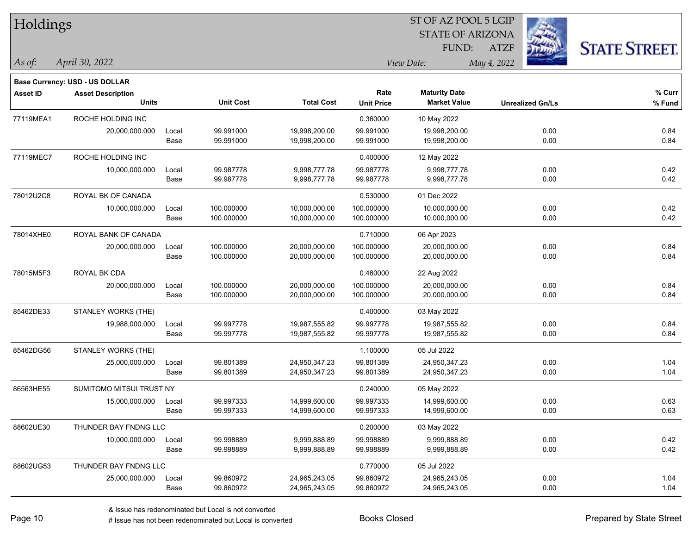| Holdings        |                                       |       |                  |                   |                   | ST OF AZ POOL 5 LGIP    |             |                         |                      |
|-----------------|---------------------------------------|-------|------------------|-------------------|-------------------|-------------------------|-------------|-------------------------|----------------------|
|                 |                                       |       |                  |                   |                   | <b>STATE OF ARIZONA</b> |             |                         |                      |
|                 |                                       |       |                  |                   |                   | FUND:                   | <b>ATZF</b> |                         | <b>STATE STREET.</b> |
| As of:          | April 30, 2022                        |       |                  |                   |                   | View Date:              | May 4, 2022 |                         |                      |
|                 | <b>Base Currency: USD - US DOLLAR</b> |       |                  |                   |                   |                         |             |                         |                      |
| <b>Asset ID</b> | <b>Asset Description</b>              |       |                  |                   | Rate              | <b>Maturity Date</b>    |             |                         | % Curr               |
|                 | <b>Units</b>                          |       | <b>Unit Cost</b> | <b>Total Cost</b> | <b>Unit Price</b> | <b>Market Value</b>     |             | <b>Unrealized Gn/Ls</b> | % Fund               |
| 77119MEA1       | ROCHE HOLDING INC                     |       |                  |                   | 0.360000          | 10 May 2022             |             |                         |                      |
|                 | 20,000,000.000                        | Local | 99.991000        | 19,998,200.00     | 99.991000         | 19,998,200.00           |             | 0.00                    | 0.84                 |
|                 |                                       | Base  | 99.991000        | 19,998,200.00     | 99.991000         | 19,998,200.00           |             | 0.00                    | 0.84                 |
| 77119MEC7       | ROCHE HOLDING INC                     |       |                  |                   | 0.400000          | 12 May 2022             |             |                         |                      |
|                 | 10,000,000.000                        | Local | 99.987778        | 9,998,777.78      | 99.987778         | 9,998,777.78            |             | 0.00                    | 0.42                 |
|                 |                                       | Base  | 99.987778        | 9,998,777.78      | 99.987778         | 9,998,777.78            |             | 0.00                    | 0.42                 |
| 78012U2C8       | ROYAL BK OF CANADA                    |       |                  |                   | 0.530000          | 01 Dec 2022             |             |                         |                      |
|                 | 10,000,000.000                        | Local | 100.000000       | 10,000,000.00     | 100.000000        | 10,000,000.00           |             | 0.00                    | 0.42                 |
|                 |                                       | Base  | 100.000000       | 10,000,000.00     | 100.000000        | 10,000,000.00           |             | 0.00                    | 0.42                 |
| 78014XHE0       | ROYAL BANK OF CANADA                  |       |                  |                   | 0.710000          | 06 Apr 2023             |             |                         |                      |
|                 | 20,000,000.000                        | Local | 100.000000       | 20,000,000.00     | 100.000000        | 20,000,000.00           |             | 0.00                    | 0.84                 |
|                 |                                       | Base  | 100.000000       | 20,000,000.00     | 100.000000        | 20,000,000.00           |             | 0.00                    | 0.84                 |
| 78015M5F3       | ROYAL BK CDA                          |       |                  |                   | 0.460000          | 22 Aug 2022             |             |                         |                      |
|                 | 20,000,000.000                        | Local | 100.000000       | 20,000,000.00     | 100.000000        | 20,000,000.00           |             | 0.00                    | 0.84                 |
|                 |                                       | Base  | 100.000000       | 20,000,000.00     | 100.000000        | 20,000,000.00           |             | 0.00                    | 0.84                 |
| 85462DE33       | STANLEY WORKS (THE)                   |       |                  |                   | 0.400000          | 03 May 2022             |             |                         |                      |
|                 | 19,988,000.000                        | Local | 99.997778        | 19,987,555.82     | 99.997778         | 19,987,555.82           |             | 0.00                    | 0.84                 |
|                 |                                       | Base  | 99.997778        | 19,987,555.82     | 99.997778         | 19,987,555.82           |             | 0.00                    | 0.84                 |
| 85462DG56       | STANLEY WORKS (THE)                   |       |                  |                   | 1.100000          | 05 Jul 2022             |             |                         |                      |
|                 | 25,000,000.000                        | Local | 99.801389        | 24,950,347.23     | 99.801389         | 24,950,347.23           |             | 0.00                    | 1.04                 |
|                 |                                       | Base  | 99.801389        | 24,950,347.23     | 99.801389         | 24,950,347.23           |             | 0.00                    | 1.04                 |
| 86563HE55       | SUMITOMO MITSUI TRUST NY              |       |                  |                   | 0.240000          | 05 May 2022             |             |                         |                      |
|                 | 15,000,000.000                        | Local | 99.997333        | 14,999,600.00     | 99.997333         | 14,999,600.00           |             | 0.00                    | 0.63                 |
|                 |                                       | Base  | 99.997333        | 14,999,600.00     | 99.997333         | 14,999,600.00           |             | 0.00                    | 0.63                 |
| 88602UE30       | THUNDER BAY FNDNG LLC                 |       |                  |                   | 0.200000          | 03 May 2022             |             |                         |                      |
|                 | 10,000,000.000                        | Local | 99.998889        | 9,999,888.89      | 99.998889         | 9,999,888.89            |             | 0.00                    | 0.42                 |
|                 |                                       | Base  | 99.998889        | 9,999,888.89      | 99.998889         | 9,999,888.89            |             | 0.00                    | 0.42                 |
| 88602UG53       | THUNDER BAY FNDNG LLC                 |       |                  |                   | 0.770000          | 05 Jul 2022             |             |                         |                      |
|                 | 25,000,000.000                        | Local | 99.860972        | 24,965,243.05     | 99.860972         | 24,965,243.05           |             | 0.00                    | 1.04                 |
|                 |                                       | Base  | 99.860972        | 24,965,243.05     | 99.860972         | 24,965,243.05           |             | 0.00                    | 1.04                 |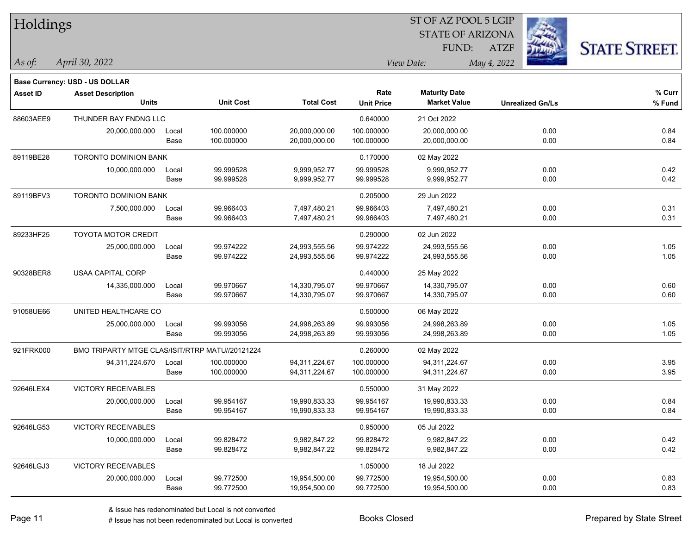| Holdings        |                                                 |       |                  |                   | 51 OF AZ POOL 5 LGIP |                         |                         |                      |  |  |
|-----------------|-------------------------------------------------|-------|------------------|-------------------|----------------------|-------------------------|-------------------------|----------------------|--|--|
|                 |                                                 |       |                  |                   |                      | <b>STATE OF ARIZONA</b> | Ż.                      |                      |  |  |
|                 |                                                 |       |                  |                   |                      | FUND:                   | <b>ATZF</b>             | <b>STATE STREET.</b> |  |  |
| As of:          | April 30, 2022                                  |       |                  |                   |                      | View Date:              | May 4, 2022             |                      |  |  |
|                 | <b>Base Currency: USD - US DOLLAR</b>           |       |                  |                   |                      |                         |                         |                      |  |  |
| <b>Asset ID</b> | <b>Asset Description</b>                        |       |                  |                   | Rate                 | <b>Maturity Date</b>    |                         | % Curr               |  |  |
|                 | <b>Units</b>                                    |       | <b>Unit Cost</b> | <b>Total Cost</b> | <b>Unit Price</b>    | <b>Market Value</b>     | <b>Unrealized Gn/Ls</b> | % Fund               |  |  |
| 88603AEE9       | THUNDER BAY FNDNG LLC                           |       |                  |                   | 0.640000             | 21 Oct 2022             |                         |                      |  |  |
|                 | 20,000,000.000                                  | Local | 100.000000       | 20,000,000.00     | 100.000000           | 20,000,000.00           | 0.00                    | 0.84                 |  |  |
|                 |                                                 | Base  | 100.000000       | 20,000,000.00     | 100.000000           | 20,000,000.00           | 0.00                    | 0.84                 |  |  |
| 89119BE28       | TORONTO DOMINION BANK                           |       |                  |                   | 0.170000             | 02 May 2022             |                         |                      |  |  |
|                 | 10,000,000.000                                  | Local | 99.999528        | 9,999,952.77      | 99.999528            | 9,999,952.77            | 0.00                    | 0.42                 |  |  |
|                 |                                                 | Base  | 99.999528        | 9,999,952.77      | 99.999528            | 9,999,952.77            | 0.00                    | 0.42                 |  |  |
| 89119BFV3       | TORONTO DOMINION BANK                           |       |                  |                   | 0.205000             | 29 Jun 2022             |                         |                      |  |  |
|                 | 7,500,000.000                                   | Local | 99.966403        | 7,497,480.21      | 99.966403            | 7,497,480.21            | 0.00                    | 0.31                 |  |  |
|                 |                                                 | Base  | 99.966403        | 7,497,480.21      | 99.966403            | 7,497,480.21            | 0.00                    | 0.31                 |  |  |
| 89233HF25       | TOYOTA MOTOR CREDIT                             |       |                  |                   | 0.290000             | 02 Jun 2022             |                         |                      |  |  |
|                 | 25,000,000.000                                  | Local | 99.974222        | 24,993,555.56     | 99.974222            | 24,993,555.56           | 0.00                    | 1.05                 |  |  |
|                 |                                                 | Base  | 99.974222        | 24,993,555.56     | 99.974222            | 24,993,555.56           | 0.00                    | 1.05                 |  |  |
| 90328BER8       | <b>USAA CAPITAL CORP</b>                        |       |                  |                   | 0.440000             | 25 May 2022             |                         |                      |  |  |
|                 | 14,335,000.000                                  | Local | 99.970667        | 14,330,795.07     | 99.970667            | 14,330,795.07           | 0.00                    | 0.60                 |  |  |
|                 |                                                 | Base  | 99.970667        | 14,330,795.07     | 99.970667            | 14,330,795.07           | 0.00                    | 0.60                 |  |  |
| 91058UE66       | UNITED HEALTHCARE CO                            |       |                  |                   | 0.500000             | 06 May 2022             |                         |                      |  |  |
|                 | 25,000,000.000                                  | Local | 99.993056        | 24,998,263.89     | 99.993056            | 24,998,263.89           | 0.00                    | 1.05                 |  |  |
|                 |                                                 | Base  | 99.993056        | 24,998,263.89     | 99.993056            | 24,998,263.89           | 0.00                    | 1.05                 |  |  |
| 921FRK000       | BMO TRIPARTY MTGE CLAS/ISIT/RTRP MATU//20121224 |       |                  |                   | 0.260000             | 02 May 2022             |                         |                      |  |  |
|                 | 94,311,224.670                                  | Local | 100.000000       | 94,311,224.67     | 100.000000           | 94,311,224.67           | 0.00                    | 3.95                 |  |  |
|                 |                                                 | Base  | 100.000000       | 94,311,224.67     | 100.000000           | 94,311,224.67           | 0.00                    | 3.95                 |  |  |
| 92646LEX4       | <b>VICTORY RECEIVABLES</b>                      |       |                  |                   | 0.550000             | 31 May 2022             |                         |                      |  |  |
|                 | 20,000,000.000                                  | Local | 99.954167        | 19,990,833.33     | 99.954167            | 19,990,833.33           | 0.00                    | 0.84                 |  |  |
|                 |                                                 | Base  | 99.954167        | 19,990,833.33     | 99.954167            | 19,990,833.33           | 0.00                    | 0.84                 |  |  |
| 92646LG53       | <b>VICTORY RECEIVABLES</b>                      |       |                  |                   | 0.950000             | 05 Jul 2022             |                         |                      |  |  |
|                 | 10,000,000.000                                  | Local | 99.828472        | 9,982,847.22      | 99.828472            | 9,982,847.22            | 0.00                    | 0.42                 |  |  |
|                 |                                                 | Base  | 99.828472        | 9,982,847.22      | 99.828472            | 9,982,847.22            | 0.00                    | 0.42                 |  |  |
| 92646LGJ3       | <b>VICTORY RECEIVABLES</b>                      |       |                  |                   | 1.050000             | 18 Jul 2022             |                         |                      |  |  |
|                 | 20,000,000.000                                  | Local | 99.772500        | 19,954,500.00     | 99.772500            | 19,954,500.00           | 0.00                    | 0.83                 |  |  |
|                 |                                                 | Base  | 99.772500        | 19,954,500.00     | 99.772500            | 19,954,500.00           | 0.00                    | 0.83                 |  |  |

 $ST$  OF AZ POOL 5 LGIP

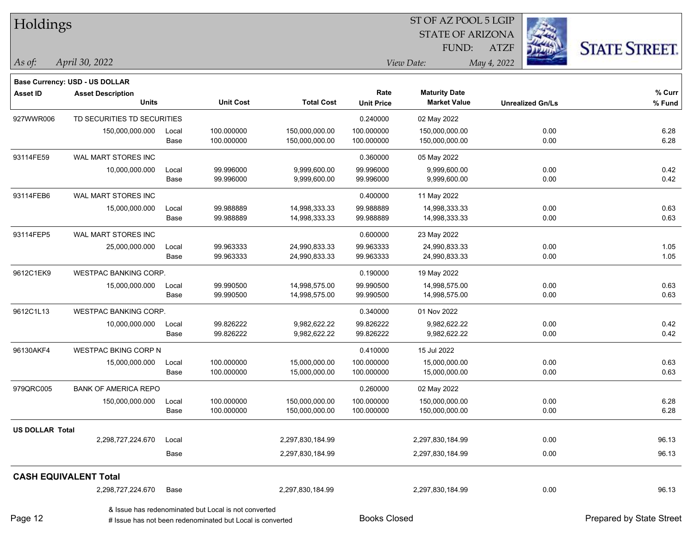| Holdings               |                                                |               |                                                                                                                   |                                  | ST OF AZ POOL 5 LGIP     |                                  |             |                         |                          |
|------------------------|------------------------------------------------|---------------|-------------------------------------------------------------------------------------------------------------------|----------------------------------|--------------------------|----------------------------------|-------------|-------------------------|--------------------------|
|                        |                                                |               |                                                                                                                   |                                  |                          | <b>STATE OF ARIZONA</b>          |             |                         |                          |
|                        |                                                |               |                                                                                                                   |                                  |                          | FUND:                            | <b>ATZF</b> |                         | <b>STATE STREET.</b>     |
| As of:                 | April 30, 2022                                 |               |                                                                                                                   |                                  |                          | View Date:                       | May 4, 2022 |                         |                          |
|                        | Base Currency: USD - US DOLLAR                 |               |                                                                                                                   |                                  |                          |                                  |             |                         |                          |
| <b>Asset ID</b>        | <b>Asset Description</b>                       |               |                                                                                                                   |                                  | Rate                     | <b>Maturity Date</b>             |             |                         | % Curr                   |
|                        | <b>Units</b>                                   |               | <b>Unit Cost</b>                                                                                                  | <b>Total Cost</b>                | <b>Unit Price</b>        | <b>Market Value</b>              |             | <b>Unrealized Gn/Ls</b> | % Fund                   |
| 927WWR006              | TD SECURITIES TD SECURITIES                    |               |                                                                                                                   |                                  | 0.240000                 | 02 May 2022                      |             |                         |                          |
|                        | 150,000,000.000                                | Local<br>Base | 100.000000<br>100.000000                                                                                          | 150,000,000.00<br>150,000,000.00 | 100.000000<br>100.000000 | 150,000,000.00<br>150,000,000.00 |             | 0.00<br>0.00            | 6.28<br>6.28             |
| 93114FE59              | WAL MART STORES INC                            |               |                                                                                                                   |                                  | 0.360000                 | 05 May 2022                      |             |                         |                          |
|                        | 10,000,000.000                                 | Local<br>Base | 99.996000<br>99.996000                                                                                            | 9,999,600.00<br>9,999,600.00     | 99.996000<br>99.996000   | 9,999,600.00<br>9,999,600.00     |             | 0.00<br>0.00            | 0.42<br>0.42             |
| 93114FEB6              | WAL MART STORES INC                            |               |                                                                                                                   |                                  | 0.400000                 | 11 May 2022                      |             |                         |                          |
|                        | 15,000,000.000                                 | Local         | 99.988889                                                                                                         | 14,998,333.33                    | 99.988889                | 14,998,333.33                    |             | 0.00                    | 0.63                     |
|                        |                                                | Base          | 99.988889                                                                                                         | 14,998,333.33                    | 99.988889                | 14,998,333.33                    |             | 0.00                    | 0.63                     |
| 93114FEP5              | WAL MART STORES INC                            |               |                                                                                                                   |                                  | 0.600000                 | 23 May 2022                      |             |                         |                          |
|                        | 25,000,000.000                                 | Local         | 99.963333                                                                                                         | 24,990,833.33                    | 99.963333                | 24,990,833.33                    |             | 0.00                    | 1.05                     |
|                        |                                                | Base          | 99.963333                                                                                                         | 24,990,833.33                    | 99.963333                | 24,990,833.33                    |             | 0.00                    | 1.05                     |
| 9612C1EK9              | WESTPAC BANKING CORP.                          |               |                                                                                                                   |                                  | 0.190000                 | 19 May 2022                      |             |                         |                          |
|                        | 15,000,000.000                                 | Local         | 99.990500                                                                                                         | 14,998,575.00                    | 99.990500                | 14,998,575.00                    |             | 0.00                    | 0.63                     |
|                        |                                                | Base          | 99.990500                                                                                                         | 14,998,575.00                    | 99.990500                | 14,998,575.00                    |             | 0.00                    | 0.63                     |
| 9612C1L13              | WESTPAC BANKING CORP.                          |               |                                                                                                                   |                                  | 0.340000                 | 01 Nov 2022                      |             |                         |                          |
|                        | 10,000,000.000                                 | Local         | 99.826222                                                                                                         | 9,982,622.22                     | 99.826222                | 9,982,622.22                     |             | 0.00                    | 0.42                     |
|                        |                                                | Base          | 99.826222                                                                                                         | 9,982,622.22                     | 99.826222                | 9,982,622.22                     |             | 0.00                    | 0.42                     |
| 96130AKF4              | <b>WESTPAC BKING CORP N</b>                    |               |                                                                                                                   |                                  | 0.410000                 | 15 Jul 2022                      |             |                         |                          |
|                        | 15,000,000.000                                 | Local<br>Base | 100.000000<br>100.000000                                                                                          | 15,000,000.00<br>15,000,000.00   | 100.000000<br>100.000000 | 15,000,000.00<br>15,000,000.00   |             | 0.00<br>0.00            | 0.63<br>0.63             |
|                        |                                                |               |                                                                                                                   |                                  |                          |                                  |             |                         |                          |
| 979QRC005              | <b>BANK OF AMERICA REPO</b><br>150,000,000.000 | Local         | 100.000000                                                                                                        | 150,000,000.00                   | 0.260000<br>100.000000   | 02 May 2022<br>150,000,000.00    |             | 0.00                    | 6.28                     |
|                        |                                                | Base          | 100.000000                                                                                                        | 150,000,000.00                   | 100.000000               | 150,000,000.00                   |             | 0.00                    | 6.28                     |
| <b>US DOLLAR Total</b> |                                                |               |                                                                                                                   |                                  |                          |                                  |             |                         |                          |
|                        | 2,298,727,224.670                              | Local         |                                                                                                                   | 2,297,830,184.99                 |                          | 2,297,830,184.99                 |             | 0.00                    | 96.13                    |
|                        |                                                | Base          |                                                                                                                   | 2,297,830,184.99                 |                          | 2,297,830,184.99                 |             | 0.00                    | 96.13                    |
|                        | <b>CASH EQUIVALENT Total</b>                   |               |                                                                                                                   |                                  |                          |                                  |             |                         |                          |
|                        | 2,298,727,224.670                              | Base          |                                                                                                                   | 2,297,830,184.99                 |                          | 2,297,830,184.99                 |             | 0.00                    | 96.13                    |
| Page 12                |                                                |               | & Issue has redenominated but Local is not converted<br># Issue has not been redenominated but Local is converted |                                  | <b>Books Closed</b>      |                                  |             |                         | Prepared by State Street |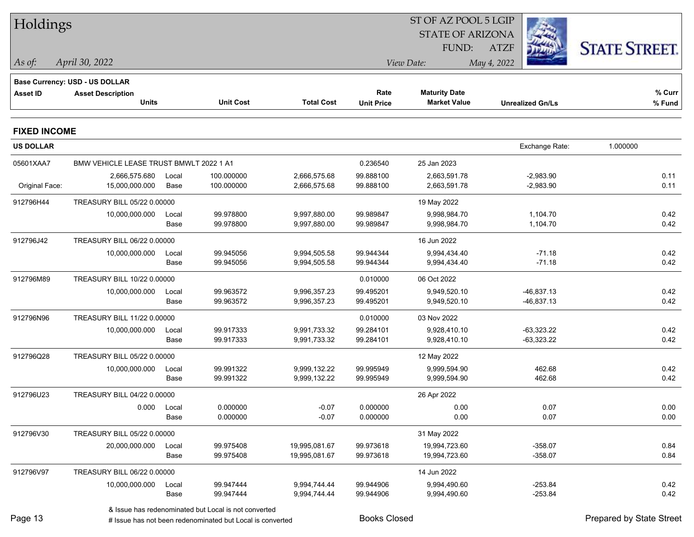| Holdings            |                                         |       |                                                      |                   |                   | ST OF AZ POOL 5 LGIP    |                         |                      |
|---------------------|-----------------------------------------|-------|------------------------------------------------------|-------------------|-------------------|-------------------------|-------------------------|----------------------|
|                     |                                         |       |                                                      |                   |                   | <b>STATE OF ARIZONA</b> |                         |                      |
|                     |                                         |       |                                                      |                   |                   | FUND:                   | <b>ATZF</b>             | <b>STATE STREET.</b> |
| $\vert$ As of:      | April 30, 2022                          |       |                                                      |                   | View Date:        |                         | May 4, 2022             |                      |
|                     | Base Currency: USD - US DOLLAR          |       |                                                      |                   |                   |                         |                         |                      |
| <b>Asset ID</b>     | <b>Asset Description</b>                |       |                                                      |                   | Rate              | <b>Maturity Date</b>    |                         | % Curr               |
|                     | <b>Units</b>                            |       | <b>Unit Cost</b>                                     | <b>Total Cost</b> | <b>Unit Price</b> | <b>Market Value</b>     | <b>Unrealized Gn/Ls</b> | % Fund               |
| <b>FIXED INCOME</b> |                                         |       |                                                      |                   |                   |                         |                         |                      |
| <b>US DOLLAR</b>    |                                         |       |                                                      |                   |                   |                         | Exchange Rate:          | 1.000000             |
| 05601XAA7           | BMW VEHICLE LEASE TRUST BMWLT 2022 1 A1 |       |                                                      |                   | 0.236540          | 25 Jan 2023             |                         |                      |
|                     | 2,666,575.680                           | Local | 100.000000                                           | 2,666,575.68      | 99.888100         | 2,663,591.78            | $-2,983.90$             | 0.11                 |
| Original Face:      | 15,000,000.000                          | Base  | 100.000000                                           | 2,666,575.68      | 99.888100         | 2,663,591.78            | $-2,983.90$             | 0.11                 |
| 912796H44           | TREASURY BILL 05/22 0.00000             |       |                                                      |                   |                   | 19 May 2022             |                         |                      |
|                     | 10,000,000.000                          | Local | 99.978800                                            | 9,997,880.00      | 99.989847         | 9,998,984.70            | 1,104.70                | 0.42                 |
|                     |                                         | Base  | 99.978800                                            | 9,997,880.00      | 99.989847         | 9,998,984.70            | 1,104.70                | 0.42                 |
| 912796J42           | TREASURY BILL 06/22 0.00000             |       |                                                      |                   |                   | 16 Jun 2022             |                         |                      |
|                     | 10,000,000.000                          | Local | 99.945056                                            | 9,994,505.58      | 99.944344         | 9,994,434.40            | $-71.18$                | 0.42                 |
|                     |                                         | Base  | 99.945056                                            | 9,994,505.58      | 99.944344         | 9,994,434.40            | $-71.18$                | 0.42                 |
| 912796M89           | TREASURY BILL 10/22 0.00000             |       |                                                      |                   | 0.010000          | 06 Oct 2022             |                         |                      |
|                     | 10,000,000.000                          | Local | 99.963572                                            | 9,996,357.23      | 99.495201         | 9,949,520.10            | $-46,837.13$            | 0.42                 |
|                     |                                         | Base  | 99.963572                                            | 9,996,357.23      | 99.495201         | 9,949,520.10            | -46,837.13              | 0.42                 |
| 912796N96           | TREASURY BILL 11/22 0.00000             |       |                                                      |                   | 0.010000          | 03 Nov 2022             |                         |                      |
|                     | 10,000,000.000                          | Local | 99.917333                                            | 9,991,733.32      | 99.284101         | 9,928,410.10            | $-63,323.22$            | 0.42                 |
|                     |                                         | Base  | 99.917333                                            | 9,991,733.32      | 99.284101         | 9,928,410.10            | $-63,323.22$            | 0.42                 |
| 912796Q28           | TREASURY BILL 05/22 0.00000             |       |                                                      |                   |                   | 12 May 2022             |                         |                      |
|                     | 10,000,000.000                          | Local | 99.991322                                            | 9,999,132.22      | 99.995949         | 9,999,594.90            | 462.68                  | 0.42                 |
|                     |                                         | Base  | 99.991322                                            | 9,999,132.22      | 99.995949         | 9,999,594.90            | 462.68                  | 0.42                 |
| 912796U23           | TREASURY BILL 04/22 0.00000             |       |                                                      |                   |                   | 26 Apr 2022             |                         |                      |
|                     | 0.000 Local                             |       | 0.000000                                             | $-0.07$           | 0.000000          | 0.00                    | 0.07                    | 0.00                 |
|                     |                                         | Base  | 0.000000                                             | $-0.07$           | 0.000000          | 0.00                    | 0.07                    | 0.00                 |
| 912796V30           | TREASURY BILL 05/22 0.00000             |       |                                                      |                   |                   | 31 May 2022             |                         |                      |
|                     | 20,000,000.000                          | Local | 99.975408                                            | 19,995,081.67     | 99.973618         | 19,994,723.60           | $-358.07$               | 0.84                 |
|                     |                                         | Base  | 99.975408                                            | 19,995,081.67     | 99.973618         | 19,994,723.60           | $-358.07$               | 0.84                 |
| 912796V97           | TREASURY BILL 06/22 0.00000             |       |                                                      |                   |                   | 14 Jun 2022             |                         |                      |
|                     | 10,000,000.000                          | Local | 99.947444                                            | 9,994,744.44      | 99.944906         | 9,994,490.60            | $-253.84$               | 0.42                 |
|                     |                                         | Base  | 99.947444                                            | 9,994,744.44      | 99.944906         | 9,994,490.60            | $-253.84$               | 0.42                 |
|                     |                                         |       | & Issue has redenominated but Local is not converted |                   |                   |                         |                         |                      |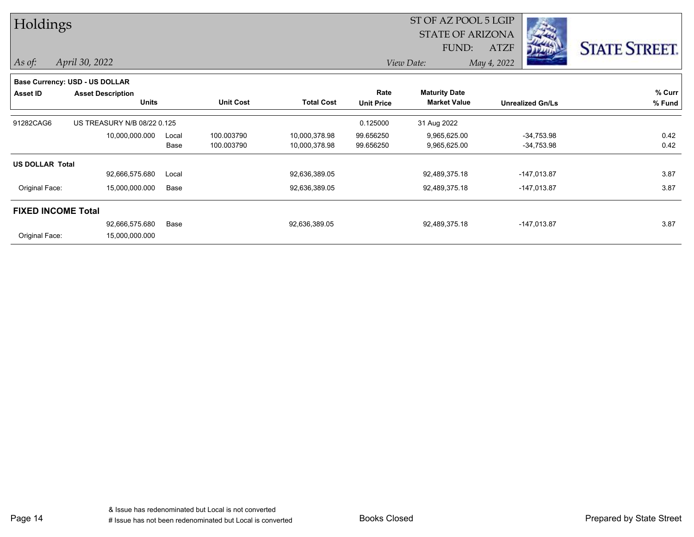| Holdings               |                                |       |                  |                   |                   | ST OF AZ POOL 5 LGIP    |                         |                      |  |
|------------------------|--------------------------------|-------|------------------|-------------------|-------------------|-------------------------|-------------------------|----------------------|--|
|                        |                                |       |                  |                   |                   | <b>STATE OF ARIZONA</b> |                         |                      |  |
|                        |                                |       |                  |                   |                   | FUND:                   | <b>ATZF</b>             | <b>STATE STREET.</b> |  |
| As of:                 | April 30, 2022                 |       |                  |                   |                   | View Date:              | May 4, 2022             |                      |  |
|                        | Base Currency: USD - US DOLLAR |       |                  |                   |                   |                         |                         |                      |  |
| Asset ID               | <b>Asset Description</b>       |       |                  |                   | Rate              | <b>Maturity Date</b>    |                         | % Curr               |  |
|                        | Units                          |       | <b>Unit Cost</b> | <b>Total Cost</b> | <b>Unit Price</b> | <b>Market Value</b>     | <b>Unrealized Gn/Ls</b> | % Fund               |  |
| 91282CAG6              | US TREASURY N/B 08/22 0.125    |       |                  |                   | 0.125000          | 31 Aug 2022             |                         |                      |  |
|                        | 10,000,000.000                 | Local | 100.003790       | 10,000,378.98     | 99.656250         | 9,965,625.00            | $-34,753.98$            | 0.42                 |  |
|                        |                                | Base  | 100.003790       | 10,000,378.98     | 99.656250         | 9,965,625.00            | -34,753.98              | 0.42                 |  |
| <b>US DOLLAR Total</b> |                                |       |                  |                   |                   |                         |                         |                      |  |
|                        | 92,666,575.680                 | Local |                  | 92,636,389.05     |                   | 92,489,375.18           | $-147,013.87$           | 3.87                 |  |
| Original Face:         | 15,000,000.000                 | Base  |                  | 92,636,389.05     |                   | 92,489,375.18           | -147,013.87             | 3.87                 |  |
|                        | <b>FIXED INCOME Total</b>      |       |                  |                   |                   |                         |                         |                      |  |
|                        | 92,666,575.680                 | Base  |                  | 92,636,389.05     |                   | 92,489,375.18           | $-147,013.87$           | 3.87                 |  |
| Original Face:         | 15,000,000.000                 |       |                  |                   |                   |                         |                         |                      |  |

Page 14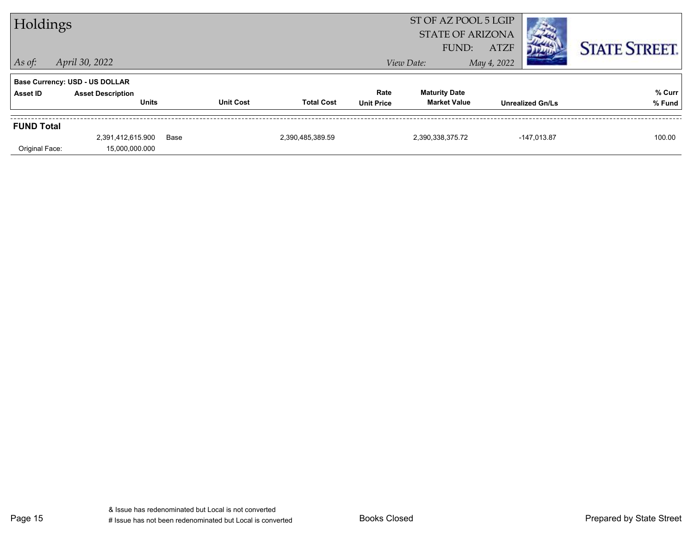| Holdings          |                                       |      |                  |                   |                   | ST OF AZ POOL 5 LGIP<br><b>STATE OF ARIZONA</b> |                            |                         |                      |
|-------------------|---------------------------------------|------|------------------|-------------------|-------------------|-------------------------------------------------|----------------------------|-------------------------|----------------------|
| $\vert$ As of:    | April 30, 2022                        |      |                  |                   |                   | FUND:<br>View Date:                             | <b>ATZF</b><br>May 4, 2022 |                         | <b>STATE STREET.</b> |
|                   | <b>Base Currency: USD - US DOLLAR</b> |      |                  |                   |                   |                                                 |                            |                         |                      |
| Asset ID          | <b>Asset Description</b>              |      |                  |                   | Rate              | <b>Maturity Date</b>                            |                            |                         | % Curr               |
|                   | <b>Units</b>                          |      | <b>Unit Cost</b> | <b>Total Cost</b> | <b>Unit Price</b> | <b>Market Value</b>                             |                            | <b>Unrealized Gn/Ls</b> | % Fund               |
| <b>FUND Total</b> |                                       |      |                  |                   |                   |                                                 |                            |                         |                      |
|                   | 2,391,412,615.900                     | Base |                  | 2,390,485,389.59  |                   | 2,390,338,375.72                                |                            | $-147,013.87$           | 100.00               |
| Original Face:    | 15,000,000.000                        |      |                  |                   |                   |                                                 |                            |                         |                      |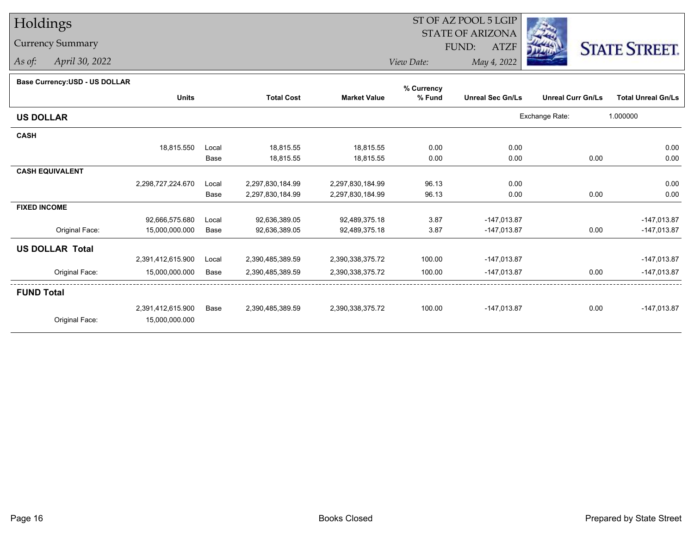## Holdings

## Currency Summary

*As of: April 30, 2022*

## ST OF AZ POOL 5 LGIP STATE OF ARIZONAATZF FUND:



*View Date:May 4, 2022*

|  | Base Currency: USD - US DOLLAR |  |  |  |
|--|--------------------------------|--|--|--|
|--|--------------------------------|--|--|--|

| <b>Dase Ourlelley.00D - 00 DOLLAR</b> |                   |       |                   |                     | % Currency |                         |                          |                           |
|---------------------------------------|-------------------|-------|-------------------|---------------------|------------|-------------------------|--------------------------|---------------------------|
|                                       | <b>Units</b>      |       | <b>Total Cost</b> | <b>Market Value</b> | % Fund     | <b>Unreal Sec Gn/Ls</b> | <b>Unreal Curr Gn/Ls</b> | <b>Total Unreal Gn/Ls</b> |
| <b>US DOLLAR</b>                      |                   |       |                   |                     |            |                         | Exchange Rate:           | 1.000000                  |
| <b>CASH</b>                           |                   |       |                   |                     |            |                         |                          |                           |
|                                       | 18,815.550        | Local | 18,815.55         | 18,815.55           | 0.00       | 0.00                    |                          | 0.00                      |
|                                       |                   | Base  | 18,815.55         | 18,815.55           | 0.00       | 0.00                    | 0.00                     | 0.00                      |
| <b>CASH EQUIVALENT</b>                |                   |       |                   |                     |            |                         |                          |                           |
|                                       | 2,298,727,224.670 | Local | 2,297,830,184.99  | 2,297,830,184.99    | 96.13      | 0.00                    |                          | 0.00                      |
|                                       |                   | Base  | 2,297,830,184.99  | 2,297,830,184.99    | 96.13      | 0.00                    | 0.00                     | 0.00                      |
| <b>FIXED INCOME</b>                   |                   |       |                   |                     |            |                         |                          |                           |
|                                       | 92,666,575.680    | Local | 92,636,389.05     | 92,489,375.18       | 3.87       | $-147,013.87$           |                          | $-147,013.87$             |
| Original Face:                        | 15,000,000.000    | Base  | 92,636,389.05     | 92,489,375.18       | 3.87       | -147,013.87             | 0.00                     | $-147,013.87$             |
| <b>US DOLLAR Total</b>                |                   |       |                   |                     |            |                         |                          |                           |
|                                       | 2,391,412,615.900 | Local | 2,390,485,389.59  | 2,390,338,375.72    | 100.00     | $-147,013.87$           |                          | $-147,013.87$             |
| Original Face:                        | 15,000,000.000    | Base  | 2,390,485,389.59  | 2,390,338,375.72    | 100.00     | $-147,013.87$           | 0.00                     | $-147,013.87$             |
| <b>FUND Total</b>                     |                   |       |                   |                     |            |                         |                          |                           |
|                                       | 2,391,412,615.900 | Base  | 2,390,485,389.59  | 2,390,338,375.72    | 100.00     | $-147,013.87$           | 0.00                     | $-147,013.87$             |
| Original Face:                        | 15,000,000.000    |       |                   |                     |            |                         |                          |                           |
|                                       |                   |       |                   |                     |            |                         |                          |                           |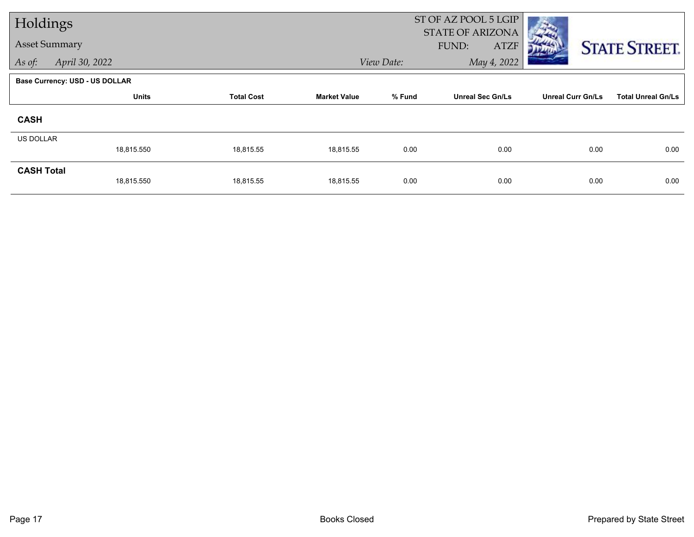| Holdings             |                                       |                                                    |           |                         | ST OF AZ POOL 5 LGIP<br><b>STATE OF ARIZONA</b> |                           |                      |  |
|----------------------|---------------------------------------|----------------------------------------------------|-----------|-------------------------|-------------------------------------------------|---------------------------|----------------------|--|
| <b>Asset Summary</b> |                                       |                                                    |           |                         | <b>ATZF</b><br>FUND:                            |                           | <b>STATE STREET.</b> |  |
| As of:               | April 30, 2022                        |                                                    |           | View Date:              | May 4, 2022                                     |                           |                      |  |
|                      | <b>Base Currency: USD - US DOLLAR</b> |                                                    |           |                         |                                                 |                           |                      |  |
|                      | <b>Units</b>                          | % Fund<br><b>Total Cost</b><br><b>Market Value</b> |           | <b>Unreal Sec Gn/Ls</b> | <b>Unreal Curr Gn/Ls</b>                        | <b>Total Unreal Gn/Ls</b> |                      |  |
| <b>CASH</b>          |                                       |                                                    |           |                         |                                                 |                           |                      |  |
| <b>US DOLLAR</b>     |                                       |                                                    |           |                         |                                                 |                           |                      |  |
|                      | 18,815.550                            | 18,815.55                                          | 18,815.55 | 0.00                    | 0.00                                            | 0.00                      | 0.00                 |  |
| <b>CASH Total</b>    | 18,815.550                            | 18,815.55                                          | 18,815.55 | 0.00                    | 0.00                                            | 0.00                      | 0.00                 |  |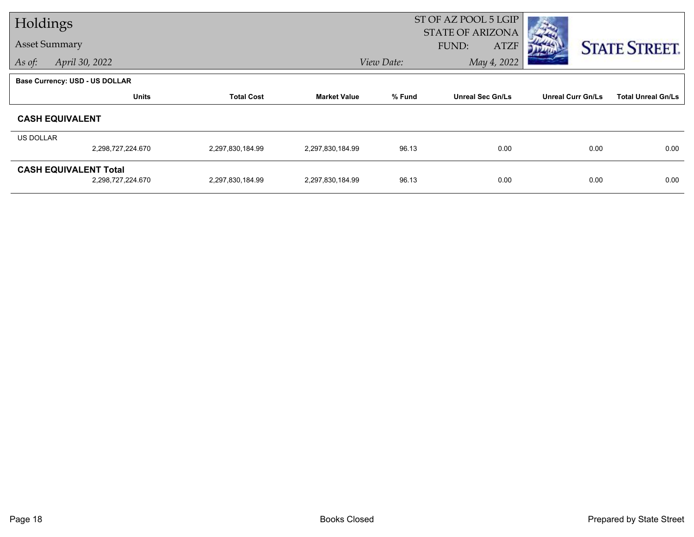| Holdings             |                                                   |                   |                     | ST OF AZ POOL 5 LGIP<br><b>STATE OF ARIZONA</b> |                             |                          |                           |  |
|----------------------|---------------------------------------------------|-------------------|---------------------|-------------------------------------------------|-----------------------------|--------------------------|---------------------------|--|
| <b>Asset Summary</b> |                                                   |                   |                     |                                                 | <b>ATZF</b><br><b>FUND:</b> |                          | <b>STATE STREET.</b>      |  |
| As of:               | April 30, 2022                                    |                   |                     | View Date:                                      | May 4, 2022                 |                          |                           |  |
|                      | <b>Base Currency: USD - US DOLLAR</b>             |                   |                     |                                                 |                             |                          |                           |  |
|                      | <b>Units</b>                                      | <b>Total Cost</b> | <b>Market Value</b> | % Fund                                          | <b>Unreal Sec Gn/Ls</b>     | <b>Unreal Curr Gn/Ls</b> | <b>Total Unreal Gn/Ls</b> |  |
|                      | <b>CASH EQUIVALENT</b>                            |                   |                     |                                                 |                             |                          |                           |  |
| US DOLLAR            |                                                   |                   |                     |                                                 |                             |                          |                           |  |
|                      | 2,298,727,224.670                                 | 2,297,830,184.99  | 2,297,830,184.99    | 96.13                                           | 0.00                        | 0.00                     | 0.00                      |  |
|                      | <b>CASH EQUIVALENT Total</b><br>2,298,727,224.670 | 2,297,830,184.99  | 2,297,830,184.99    | 96.13                                           | 0.00                        | 0.00                     | 0.00                      |  |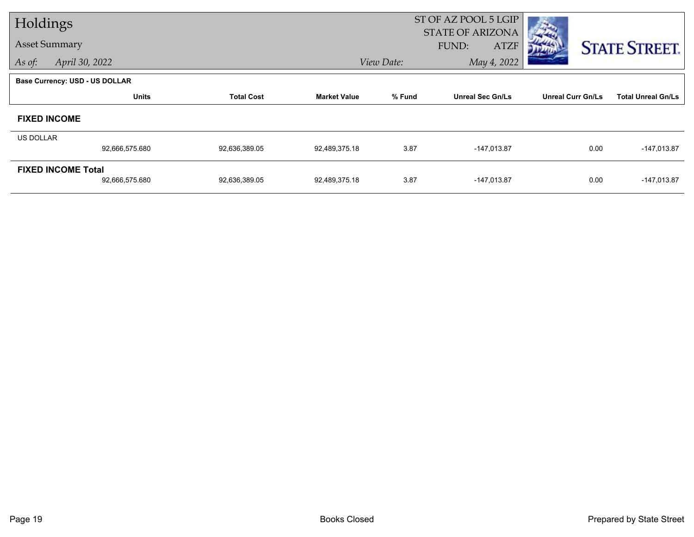| Holdings             |                                       |                   |                     | ST OF AZ POOL 5 LGIP |                                                 |                          |                           |
|----------------------|---------------------------------------|-------------------|---------------------|----------------------|-------------------------------------------------|--------------------------|---------------------------|
| <b>Asset Summary</b> |                                       |                   |                     |                      | <b>STATE OF ARIZONA</b><br>FUND:<br><b>ATZF</b> |                          | <b>STATE STREET.</b>      |
| As of:               | April 30, 2022                        |                   |                     | View Date:           | May 4, 2022                                     |                          |                           |
|                      | <b>Base Currency: USD - US DOLLAR</b> |                   |                     |                      |                                                 |                          |                           |
|                      | <b>Units</b>                          | <b>Total Cost</b> | <b>Market Value</b> | % Fund               | <b>Unreal Sec Gn/Ls</b>                         | <b>Unreal Curr Gn/Ls</b> | <b>Total Unreal Gn/Ls</b> |
|                      | <b>FIXED INCOME</b>                   |                   |                     |                      |                                                 |                          |                           |
| <b>US DOLLAR</b>     |                                       |                   |                     |                      |                                                 |                          |                           |
|                      | 92,666,575.680                        | 92,636,389.05     | 92,489,375.18       | 3.87                 | $-147,013.87$                                   | 0.00                     | $-147,013.87$             |
|                      | <b>FIXED INCOME Total</b>             |                   |                     | 3.87                 |                                                 | 0.00                     | $-147,013.87$             |
|                      | 92,666,575.680                        | 92,636,389.05     | 92,489,375.18       |                      | $-147,013.87$                                   |                          |                           |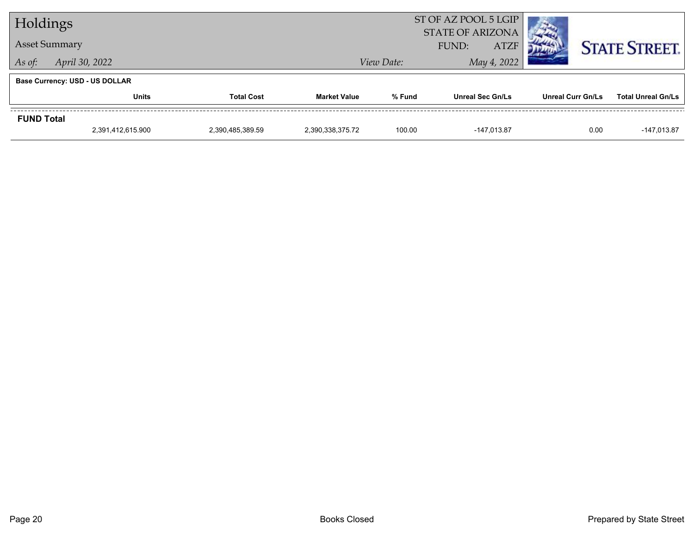| Holdings             |                                       |                   |                     | ST OF AZ POOL 5 LGIP<br><b>STATE OF ARIZONA</b> |                         |                          |                           |  |  |  |
|----------------------|---------------------------------------|-------------------|---------------------|-------------------------------------------------|-------------------------|--------------------------|---------------------------|--|--|--|
| <b>Asset Summary</b> |                                       |                   |                     |                                                 | FUND:<br><b>ATZF</b>    |                          | <b>STATE STREET.</b>      |  |  |  |
| As of:               | April 30, 2022                        |                   |                     | View Date:                                      | May 4, 2022             |                          |                           |  |  |  |
|                      | <b>Base Currency: USD - US DOLLAR</b> |                   |                     |                                                 |                         |                          |                           |  |  |  |
|                      | <b>Units</b>                          | <b>Total Cost</b> | <b>Market Value</b> | % Fund                                          | <b>Unreal Sec Gn/Ls</b> | <b>Unreal Curr Gn/Ls</b> | <b>Total Unreal Gn/Ls</b> |  |  |  |
| <b>FUND Total</b>    |                                       |                   |                     |                                                 |                         |                          |                           |  |  |  |
|                      | 2,391,412,615.900                     | 2,390,485,389.59  | 2,390,338,375.72    | 100.00                                          | -147.013.87             | 0.00                     | $-147,013.87$             |  |  |  |